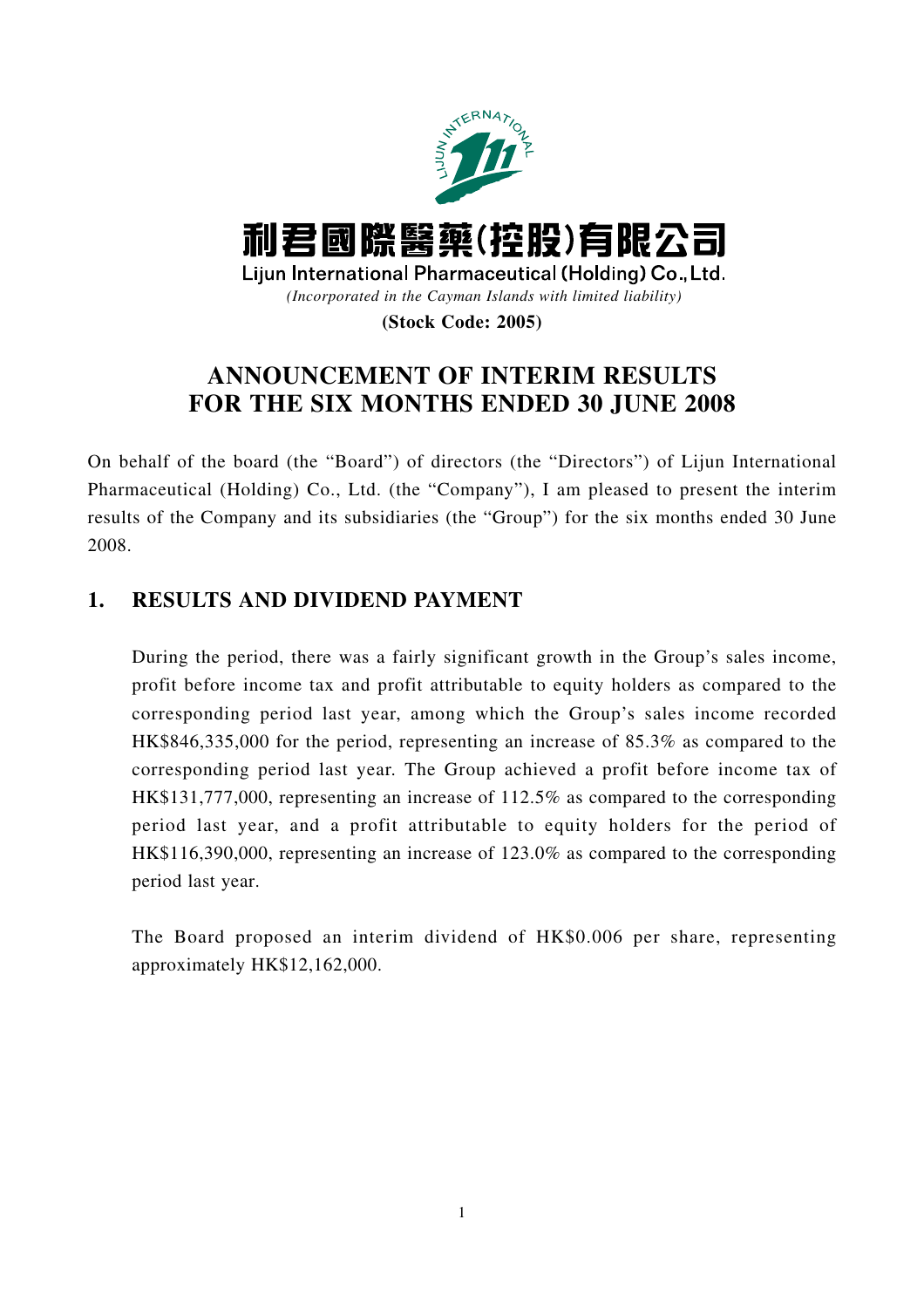

# **ANNOUNCEMENT OF INTERIM RESULTS FOR THE SIX MONTHS ENDED 30 JUNE 2008**

On behalf of the board (the "Board") of directors (the "Directors") of Lijun International Pharmaceutical (Holding) Co., Ltd. (the "Company"), I am pleased to present the interim results of the Company and its subsidiaries (the "Group") for the six months ended 30 June 2008.

## **1. RESULTS AND DIVIDEND PAYMENT**

During the period, there was a fairly significant growth in the Group's sales income, profit before income tax and profit attributable to equity holders as compared to the corresponding period last year, among which the Group's sales income recorded HK\$846,335,000 for the period, representing an increase of 85.3% as compared to the corresponding period last year. The Group achieved a profit before income tax of HK\$131,777,000, representing an increase of 112.5% as compared to the corresponding period last year, and a profit attributable to equity holders for the period of HK\$116,390,000, representing an increase of 123.0% as compared to the corresponding period last year.

The Board proposed an interim dividend of HK\$0.006 per share, representing approximately HK\$12,162,000.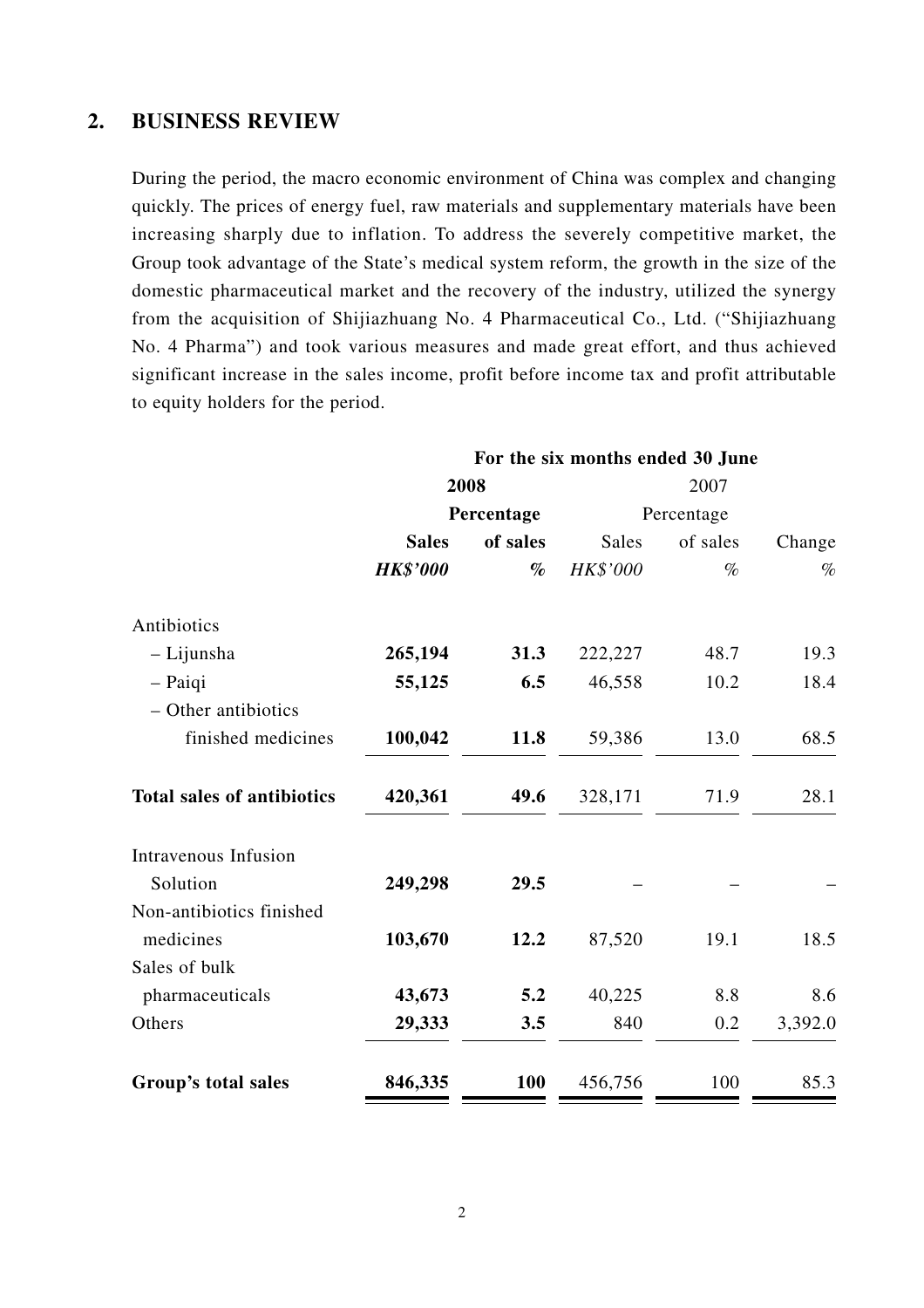### **2. BUSINESS REVIEW**

During the period, the macro economic environment of China was complex and changing quickly. The prices of energy fuel, raw materials and supplementary materials have been increasing sharply due to inflation. To address the severely competitive market, the Group took advantage of the State's medical system reform, the growth in the size of the domestic pharmaceutical market and the recovery of the industry, utilized the synergy from the acquisition of Shijiazhuang No. 4 Pharmaceutical Co., Ltd. ("Shijiazhuang No. 4 Pharma") and took various measures and made great effort, and thus achieved significant increase in the sales income, profit before income tax and profit attributable to equity holders for the period.

|                                   | For the six months ended 30 June |            |          |            |         |  |
|-----------------------------------|----------------------------------|------------|----------|------------|---------|--|
|                                   | 2008                             |            | 2007     |            |         |  |
|                                   |                                  | Percentage |          | Percentage |         |  |
|                                   | <b>Sales</b>                     | of sales   | Sales    | of sales   | Change  |  |
|                                   | <b>HK\$'000</b>                  | $\%$       | HK\$'000 | $\%$       | $\%$    |  |
| Antibiotics                       |                                  |            |          |            |         |  |
| - Lijunsha                        | 265,194                          | 31.3       | 222,227  | 48.7       | 19.3    |  |
| - Paiqi                           | 55,125                           | 6.5        | 46,558   | 10.2       | 18.4    |  |
| - Other antibiotics               |                                  |            |          |            |         |  |
| finished medicines                | 100,042                          | 11.8       | 59,386   | 13.0       | 68.5    |  |
| <b>Total sales of antibiotics</b> | 420,361                          | 49.6       | 328,171  | 71.9       | 28.1    |  |
| Intravenous Infusion              |                                  |            |          |            |         |  |
| Solution                          | 249,298                          | 29.5       |          |            |         |  |
| Non-antibiotics finished          |                                  |            |          |            |         |  |
| medicines                         | 103,670                          | 12.2       | 87,520   | 19.1       | 18.5    |  |
| Sales of bulk                     |                                  |            |          |            |         |  |
| pharmaceuticals                   | 43,673                           | 5.2        | 40,225   | 8.8        | 8.6     |  |
| Others                            | 29,333                           | 3.5        | 840      | 0.2        | 3,392.0 |  |
| Group's total sales               | 846,335                          | 100        | 456,756  | 100        | 85.3    |  |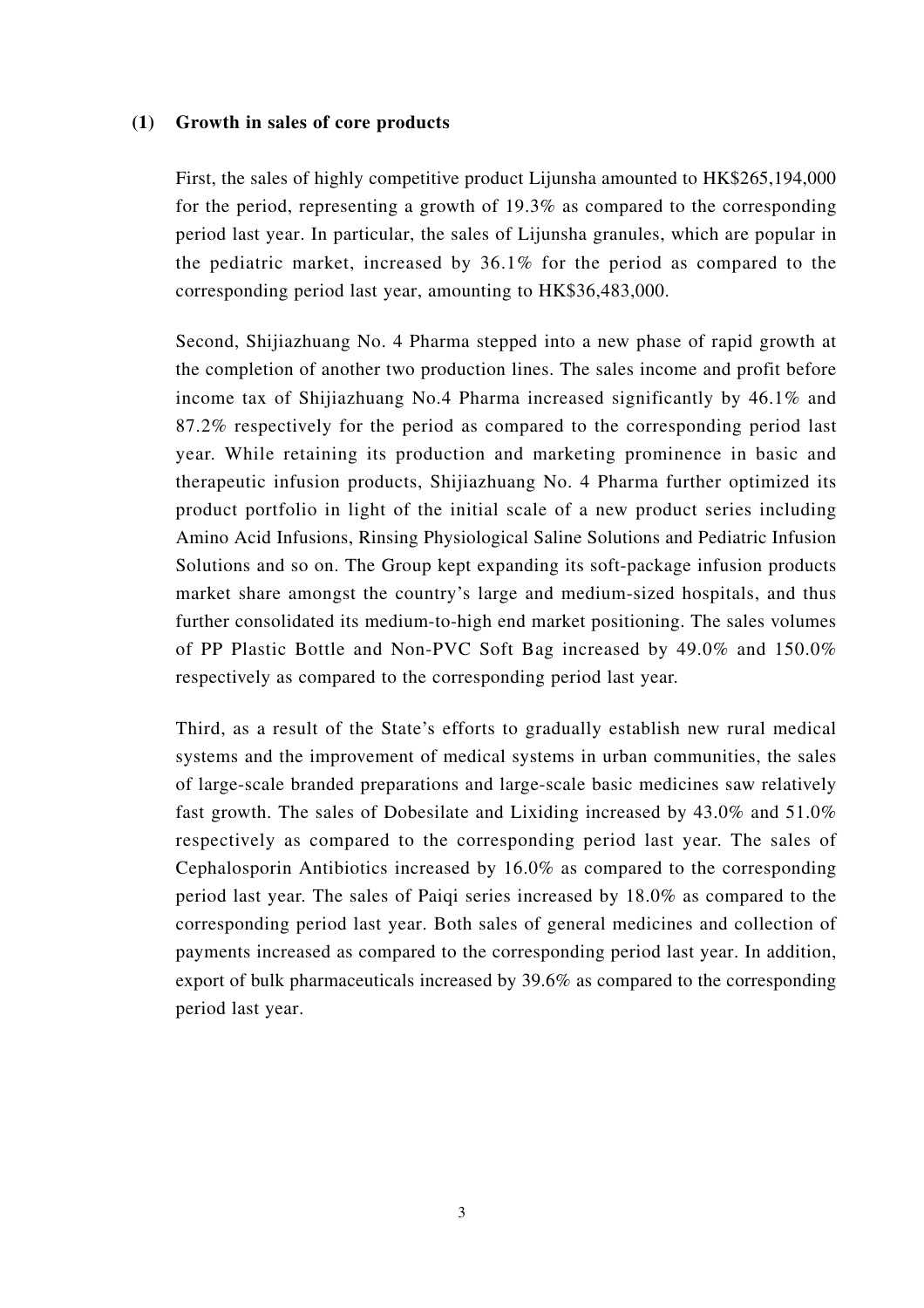#### **(1) Growth in sales of core products**

First, the sales of highly competitive product Lijunsha amounted to HK\$265,194,000 for the period, representing a growth of 19.3% as compared to the corresponding period last year. In particular, the sales of Lijunsha granules, which are popular in the pediatric market, increased by 36.1% for the period as compared to the corresponding period last year, amounting to HK\$36,483,000.

Second, Shijiazhuang No. 4 Pharma stepped into a new phase of rapid growth at the completion of another two production lines. The sales income and profit before income tax of Shijiazhuang No.4 Pharma increased significantly by 46.1% and 87.2% respectively for the period as compared to the corresponding period last year. While retaining its production and marketing prominence in basic and therapeutic infusion products, Shijiazhuang No. 4 Pharma further optimized its product portfolio in light of the initial scale of a new product series including Amino Acid Infusions, Rinsing Physiological Saline Solutions and Pediatric Infusion Solutions and so on. The Group kept expanding its soft-package infusion products market share amongst the country's large and medium-sized hospitals, and thus further consolidated its medium-to-high end market positioning. The sales volumes of PP Plastic Bottle and Non-PVC Soft Bag increased by 49.0% and 150.0% respectively as compared to the corresponding period last year.

Third, as a result of the State's efforts to gradually establish new rural medical systems and the improvement of medical systems in urban communities, the sales of large-scale branded preparations and large-scale basic medicines saw relatively fast growth. The sales of Dobesilate and Lixiding increased by 43.0% and 51.0% respectively as compared to the corresponding period last year. The sales of Cephalosporin Antibiotics increased by 16.0% as compared to the corresponding period last year. The sales of Paiqi series increased by 18.0% as compared to the corresponding period last year. Both sales of general medicines and collection of payments increased as compared to the corresponding period last year. In addition, export of bulk pharmaceuticals increased by 39.6% as compared to the corresponding period last year.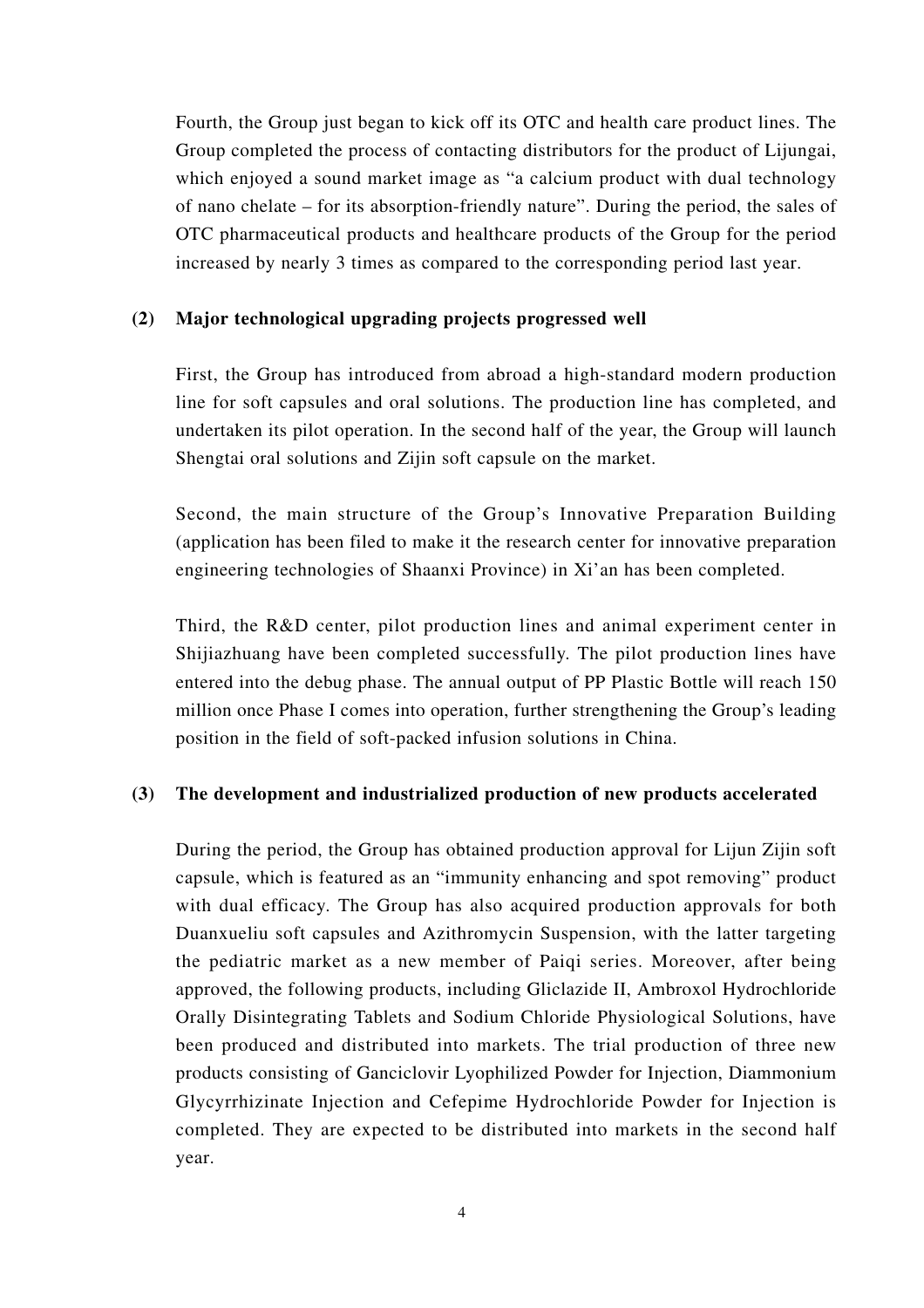Fourth, the Group just began to kick off its OTC and health care product lines. The Group completed the process of contacting distributors for the product of Lijungai, which enjoyed a sound market image as "a calcium product with dual technology of nano chelate – for its absorption-friendly nature". During the period, the sales of OTC pharmaceutical products and healthcare products of the Group for the period increased by nearly 3 times as compared to the corresponding period last year.

### **(2) Major technological upgrading projects progressed well**

First, the Group has introduced from abroad a high-standard modern production line for soft capsules and oral solutions. The production line has completed, and undertaken its pilot operation. In the second half of the year, the Group will launch Shengtai oral solutions and Zijin soft capsule on the market.

Second, the main structure of the Group's Innovative Preparation Building (application has been filed to make it the research center for innovative preparation engineering technologies of Shaanxi Province) in Xi'an has been completed.

Third, the R&D center, pilot production lines and animal experiment center in Shijiazhuang have been completed successfully. The pilot production lines have entered into the debug phase. The annual output of PP Plastic Bottle will reach 150 million once Phase I comes into operation, further strengthening the Group's leading position in the field of soft-packed infusion solutions in China.

### **(3) The development and industrialized production of new products accelerated**

During the period, the Group has obtained production approval for Lijun Zijin soft capsule, which is featured as an "immunity enhancing and spot removing" product with dual efficacy. The Group has also acquired production approvals for both Duanxueliu soft capsules and Azithromycin Suspension, with the latter targeting the pediatric market as a new member of Paiqi series. Moreover, after being approved, the following products, including Gliclazide II, Ambroxol Hydrochloride Orally Disintegrating Tablets and Sodium Chloride Physiological Solutions, have been produced and distributed into markets. The trial production of three new products consisting of Ganciclovir Lyophilized Powder for Injection, Diammonium Glycyrrhizinate Injection and Cefepime Hydrochloride Powder for Injection is completed. They are expected to be distributed into markets in the second half year.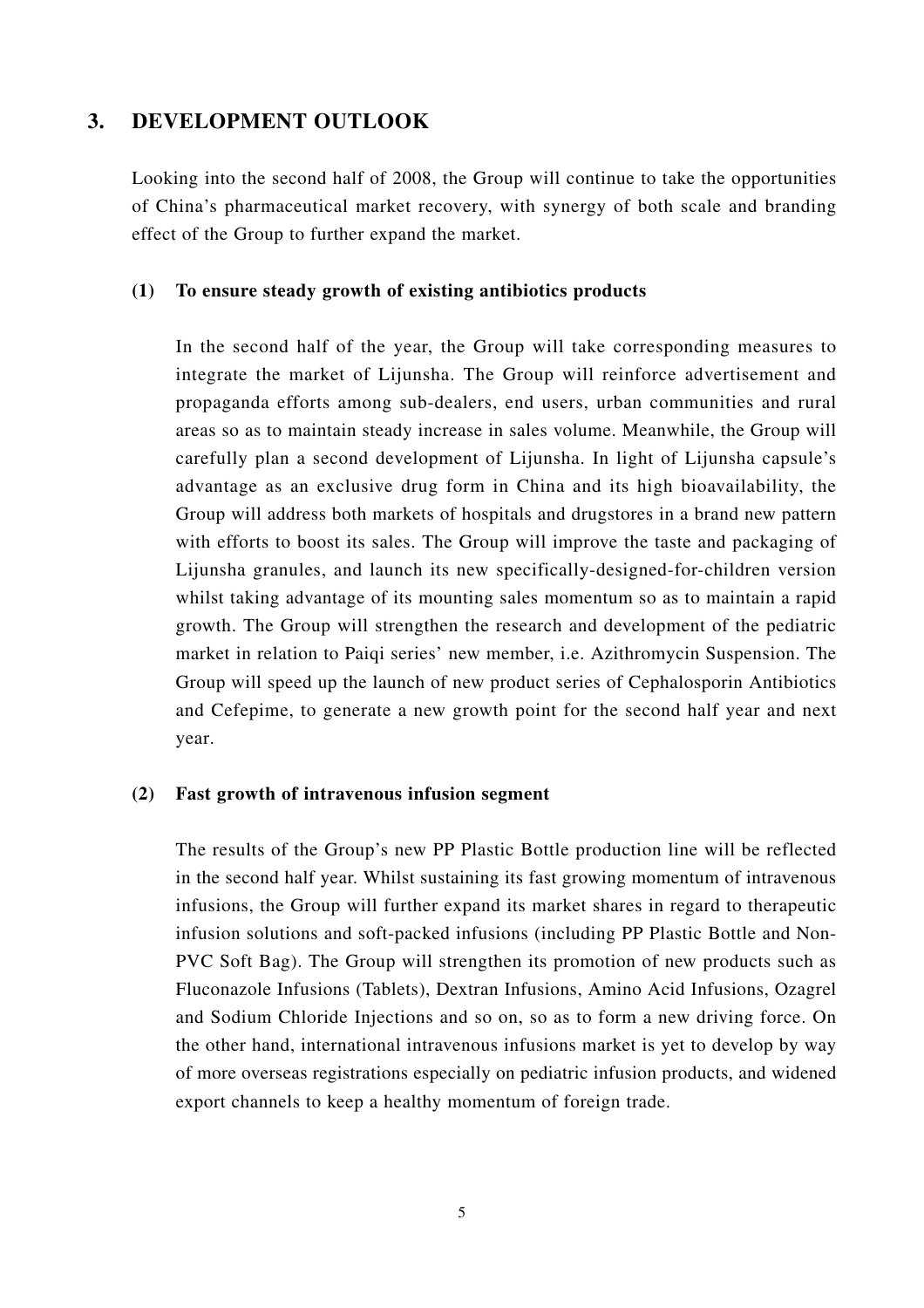### **3. DEVELOPMENT OUTLOOK**

Looking into the second half of 2008, the Group will continue to take the opportunities of China's pharmaceutical market recovery, with synergy of both scale and branding effect of the Group to further expand the market.

### **(1) To ensure steady growth of existing antibiotics products**

In the second half of the year, the Group will take corresponding measures to integrate the market of Lijunsha. The Group will reinforce advertisement and propaganda efforts among sub-dealers, end users, urban communities and rural areas so as to maintain steady increase in sales volume. Meanwhile, the Group will carefully plan a second development of Lijunsha. In light of Lijunsha capsule's advantage as an exclusive drug form in China and its high bioavailability, the Group will address both markets of hospitals and drugstores in a brand new pattern with efforts to boost its sales. The Group will improve the taste and packaging of Lijunsha granules, and launch its new specifically-designed-for-children version whilst taking advantage of its mounting sales momentum so as to maintain a rapid growth. The Group will strengthen the research and development of the pediatric market in relation to Paiqi series' new member, i.e. Azithromycin Suspension. The Group will speed up the launch of new product series of Cephalosporin Antibiotics and Cefepime, to generate a new growth point for the second half year and next year.

#### **(2) Fast growth of intravenous infusion segment**

The results of the Group's new PP Plastic Bottle production line will be reflected in the second half year. Whilst sustaining its fast growing momentum of intravenous infusions, the Group will further expand its market shares in regard to therapeutic infusion solutions and soft-packed infusions (including PP Plastic Bottle and Non-PVC Soft Bag). The Group will strengthen its promotion of new products such as Fluconazole Infusions (Tablets), Dextran Infusions, Amino Acid Infusions, Ozagrel and Sodium Chloride Injections and so on, so as to form a new driving force. On the other hand, international intravenous infusions market is yet to develop by way of more overseas registrations especially on pediatric infusion products, and widened export channels to keep a healthy momentum of foreign trade.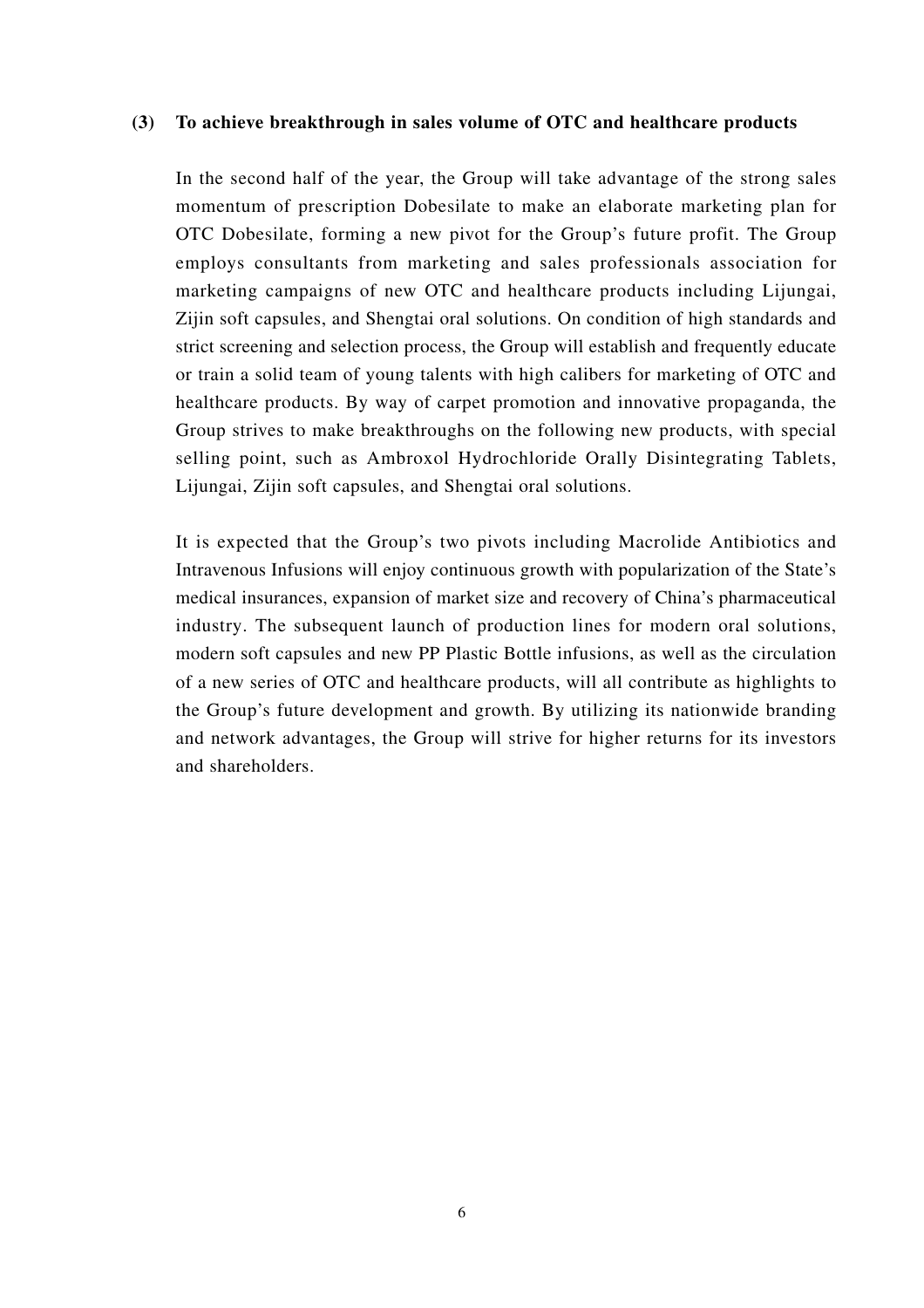#### **(3) To achieve breakthrough in sales volume of OTC and healthcare products**

In the second half of the year, the Group will take advantage of the strong sales momentum of prescription Dobesilate to make an elaborate marketing plan for OTC Dobesilate, forming a new pivot for the Group's future profit. The Group employs consultants from marketing and sales professionals association for marketing campaigns of new OTC and healthcare products including Lijungai, Zijin soft capsules, and Shengtai oral solutions. On condition of high standards and strict screening and selection process, the Group will establish and frequently educate or train a solid team of young talents with high calibers for marketing of OTC and healthcare products. By way of carpet promotion and innovative propaganda, the Group strives to make breakthroughs on the following new products, with special selling point, such as Ambroxol Hydrochloride Orally Disintegrating Tablets, Lijungai, Zijin soft capsules, and Shengtai oral solutions.

It is expected that the Group's two pivots including Macrolide Antibiotics and Intravenous Infusions will enjoy continuous growth with popularization of the State's medical insurances, expansion of market size and recovery of China's pharmaceutical industry. The subsequent launch of production lines for modern oral solutions, modern soft capsules and new PP Plastic Bottle infusions, as well as the circulation of a new series of OTC and healthcare products, will all contribute as highlights to the Group's future development and growth. By utilizing its nationwide branding and network advantages, the Group will strive for higher returns for its investors and shareholders.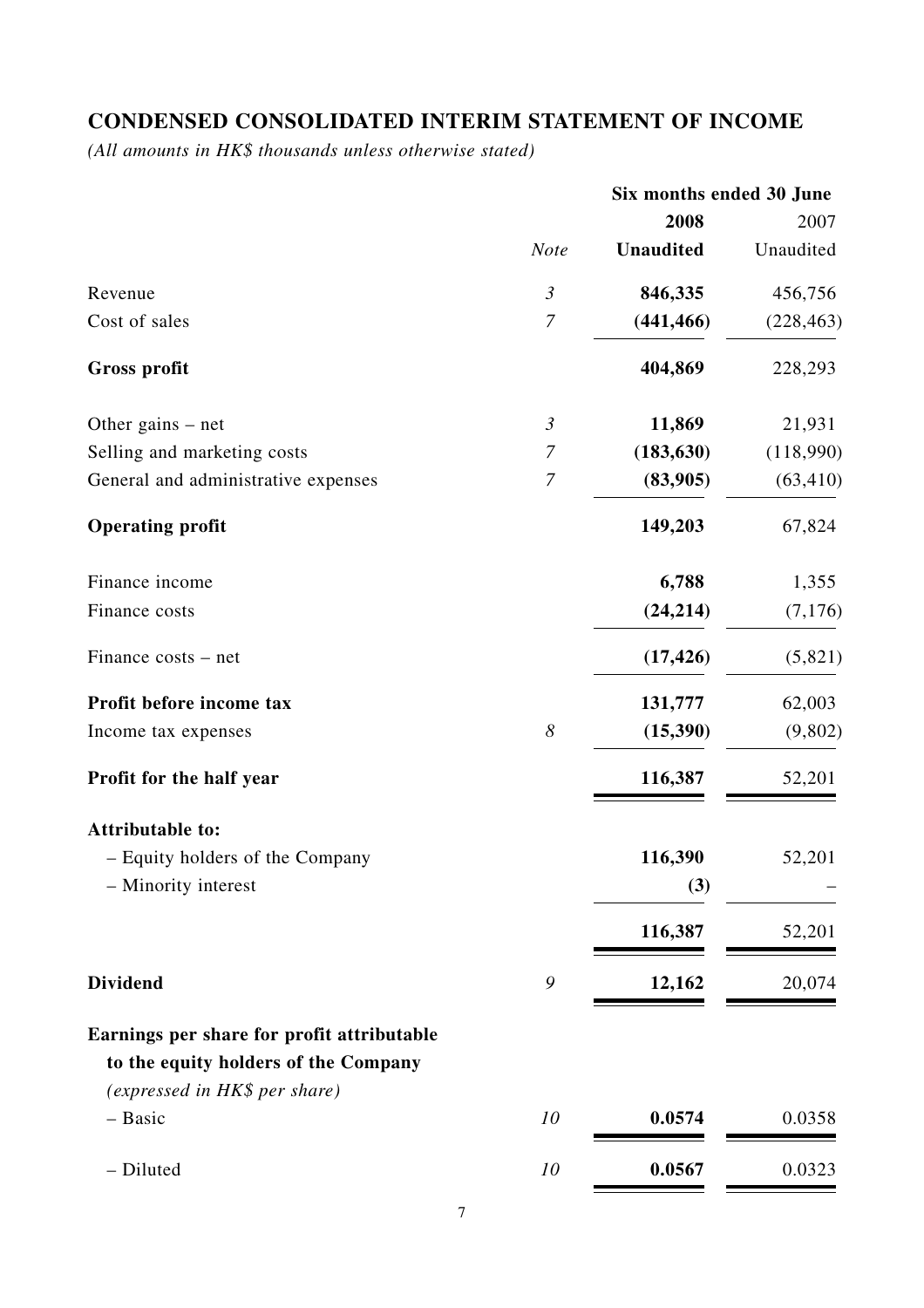# **CONDENSED CONSOLIDATED INTERIM STATEMENT OF INCOME**

*(All amounts in HK\$ thousands unless otherwise stated)*

|                                            |                       | Six months ended 30 June |            |
|--------------------------------------------|-----------------------|--------------------------|------------|
|                                            |                       | 2008                     | 2007       |
|                                            | <b>Note</b>           | <b>Unaudited</b>         | Unaudited  |
| Revenue                                    | $\mathfrak{Z}$        | 846,335                  | 456,756    |
| Cost of sales                              | $\boldsymbol{7}$      | (441, 466)               | (228, 463) |
| <b>Gross profit</b>                        |                       | 404,869                  | 228,293    |
| Other gains $-$ net                        | $\mathfrak{Z}$        | 11,869                   | 21,931     |
| Selling and marketing costs                | $\boldsymbol{7}$      | (183, 630)               | (118,990)  |
| General and administrative expenses        | $\boldsymbol{7}$      | (83,905)                 | (63, 410)  |
| <b>Operating profit</b>                    |                       | 149,203                  | 67,824     |
| Finance income                             |                       | 6,788                    | 1,355      |
| Finance costs                              |                       | (24, 214)                | (7,176)    |
| Finance costs – net                        |                       | (17, 426)                | (5,821)    |
| Profit before income tax                   |                       | 131,777                  | 62,003     |
| Income tax expenses                        | $\boldsymbol{\delta}$ | (15,390)                 | (9,802)    |
| Profit for the half year                   |                       | 116,387                  | 52,201     |
| <b>Attributable to:</b>                    |                       |                          |            |
| - Equity holders of the Company            |                       | 116,390                  | 52,201     |
| - Minority interest                        |                       | (3)                      |            |
|                                            |                       | 116,387                  | 52,201     |
| <b>Dividend</b>                            | 9                     | 12,162                   | 20,074     |
| Earnings per share for profit attributable |                       |                          |            |
| to the equity holders of the Company       |                       |                          |            |
| (expressed in HK\$ per share)              |                       |                          |            |
| - Basic                                    | 10                    | 0.0574                   | 0.0358     |
| - Diluted                                  | 10                    | 0.0567                   | 0.0323     |
|                                            |                       |                          |            |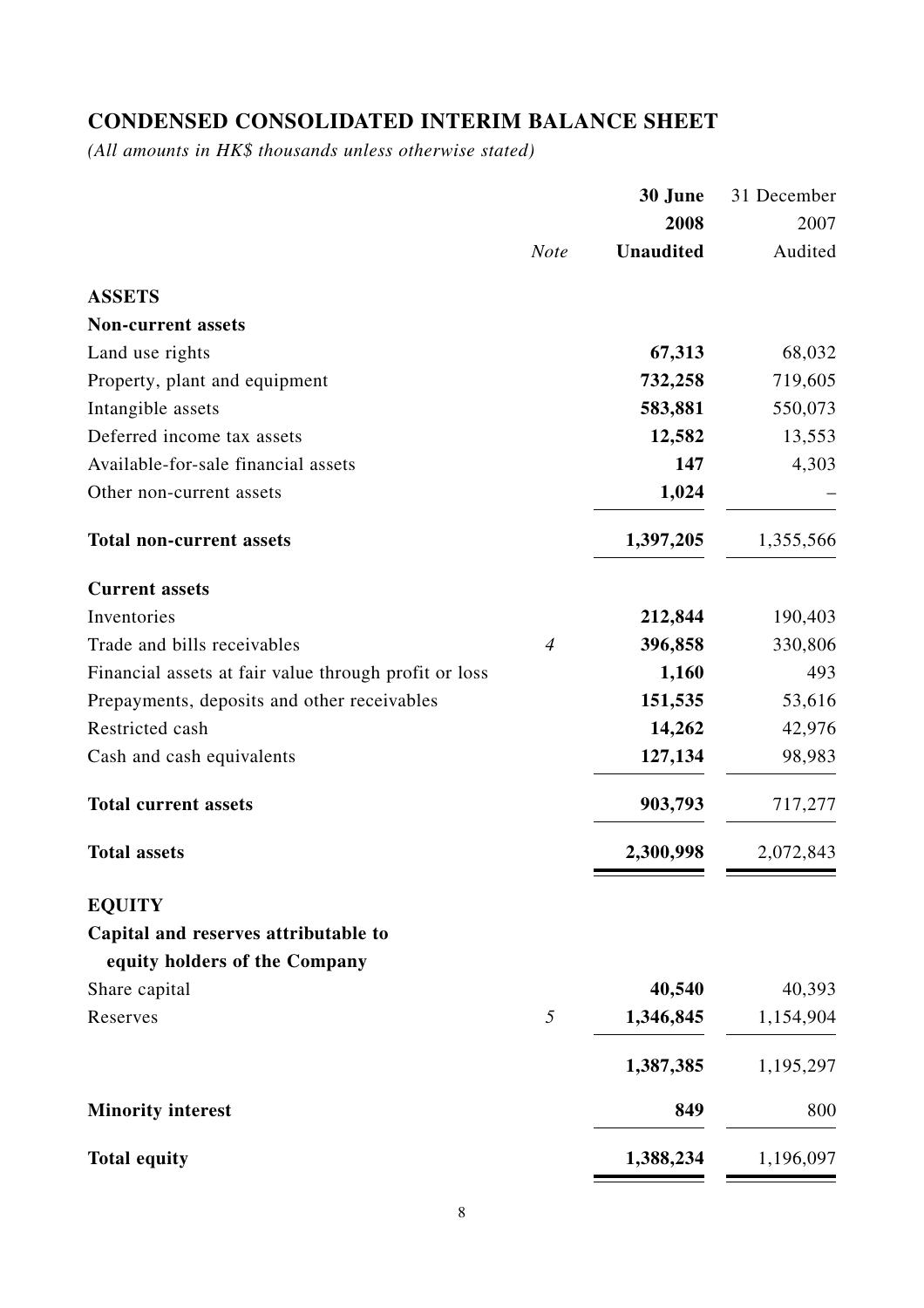# **CONDENSED CONSOLIDATED INTERIM BALANCE SHEET**

*(All amounts in HK\$ thousands unless otherwise stated)*

|                                                       |                | 30 June          | 31 December |
|-------------------------------------------------------|----------------|------------------|-------------|
|                                                       |                | 2008             | 2007        |
|                                                       | <b>Note</b>    | <b>Unaudited</b> | Audited     |
| <b>ASSETS</b>                                         |                |                  |             |
| <b>Non-current assets</b>                             |                |                  |             |
| Land use rights                                       |                | 67,313           | 68,032      |
| Property, plant and equipment                         |                | 732,258          | 719,605     |
| Intangible assets                                     |                | 583,881          | 550,073     |
| Deferred income tax assets                            |                | 12,582           | 13,553      |
| Available-for-sale financial assets                   |                | 147              | 4,303       |
| Other non-current assets                              |                | 1,024            |             |
| <b>Total non-current assets</b>                       |                | 1,397,205        | 1,355,566   |
| <b>Current assets</b>                                 |                |                  |             |
| Inventories                                           |                | 212,844          | 190,403     |
| Trade and bills receivables                           | $\overline{4}$ | 396,858          | 330,806     |
| Financial assets at fair value through profit or loss |                | 1,160            | 493         |
| Prepayments, deposits and other receivables           |                | 151,535          | 53,616      |
| Restricted cash                                       |                | 14,262           | 42,976      |
| Cash and cash equivalents                             |                | 127,134          | 98,983      |
| <b>Total current assets</b>                           |                | 903,793          | 717,277     |
| <b>Total assets</b>                                   |                | 2,300,998        | 2,072,843   |
| <b>EQUITY</b>                                         |                |                  |             |
| Capital and reserves attributable to                  |                |                  |             |
| equity holders of the Company                         |                |                  |             |
| Share capital                                         |                | 40,540           | 40,393      |
| Reserves                                              | 5              | 1,346,845        | 1,154,904   |
|                                                       |                | 1,387,385        | 1,195,297   |
| <b>Minority interest</b>                              |                | 849              | 800         |
| <b>Total equity</b>                                   |                | 1,388,234        | 1,196,097   |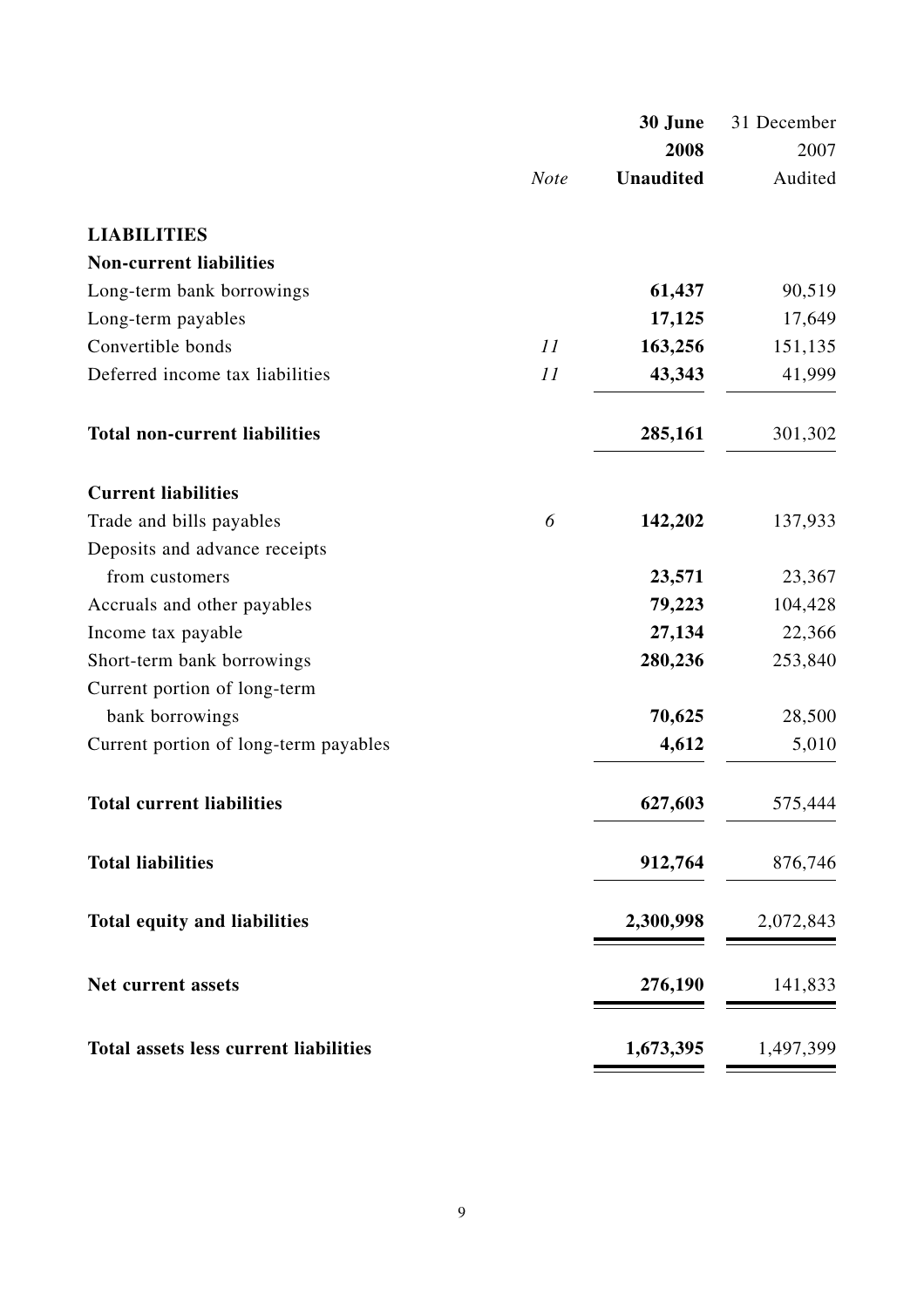|                                              |             | 30 June          | 31 December |
|----------------------------------------------|-------------|------------------|-------------|
|                                              |             | 2008             | 2007        |
|                                              | <b>Note</b> | <b>Unaudited</b> | Audited     |
| <b>LIABILITIES</b>                           |             |                  |             |
| <b>Non-current liabilities</b>               |             |                  |             |
| Long-term bank borrowings                    |             | 61,437           | 90,519      |
| Long-term payables                           |             | 17,125           | 17,649      |
| Convertible bonds                            | 11          | 163,256          | 151,135     |
| Deferred income tax liabilities              | 11          | 43,343           | 41,999      |
| <b>Total non-current liabilities</b>         |             | 285,161          | 301,302     |
| <b>Current liabilities</b>                   |             |                  |             |
| Trade and bills payables                     | 6           | 142,202          | 137,933     |
| Deposits and advance receipts                |             |                  |             |
| from customers                               |             | 23,571           | 23,367      |
| Accruals and other payables                  |             | 79,223           | 104,428     |
| Income tax payable                           |             | 27,134           | 22,366      |
| Short-term bank borrowings                   |             | 280,236          | 253,840     |
| Current portion of long-term                 |             |                  |             |
| bank borrowings                              |             | 70,625           | 28,500      |
| Current portion of long-term payables        |             | 4,612            | 5,010       |
| <b>Total current liabilities</b>             |             | 627,603          | 575,444     |
| <b>Total liabilities</b>                     |             | 912,764          | 876,746     |
| <b>Total equity and liabilities</b>          |             | 2,300,998        | 2,072,843   |
| Net current assets                           |             | 276,190          | 141,833     |
| <b>Total assets less current liabilities</b> |             | 1,673,395        | 1,497,399   |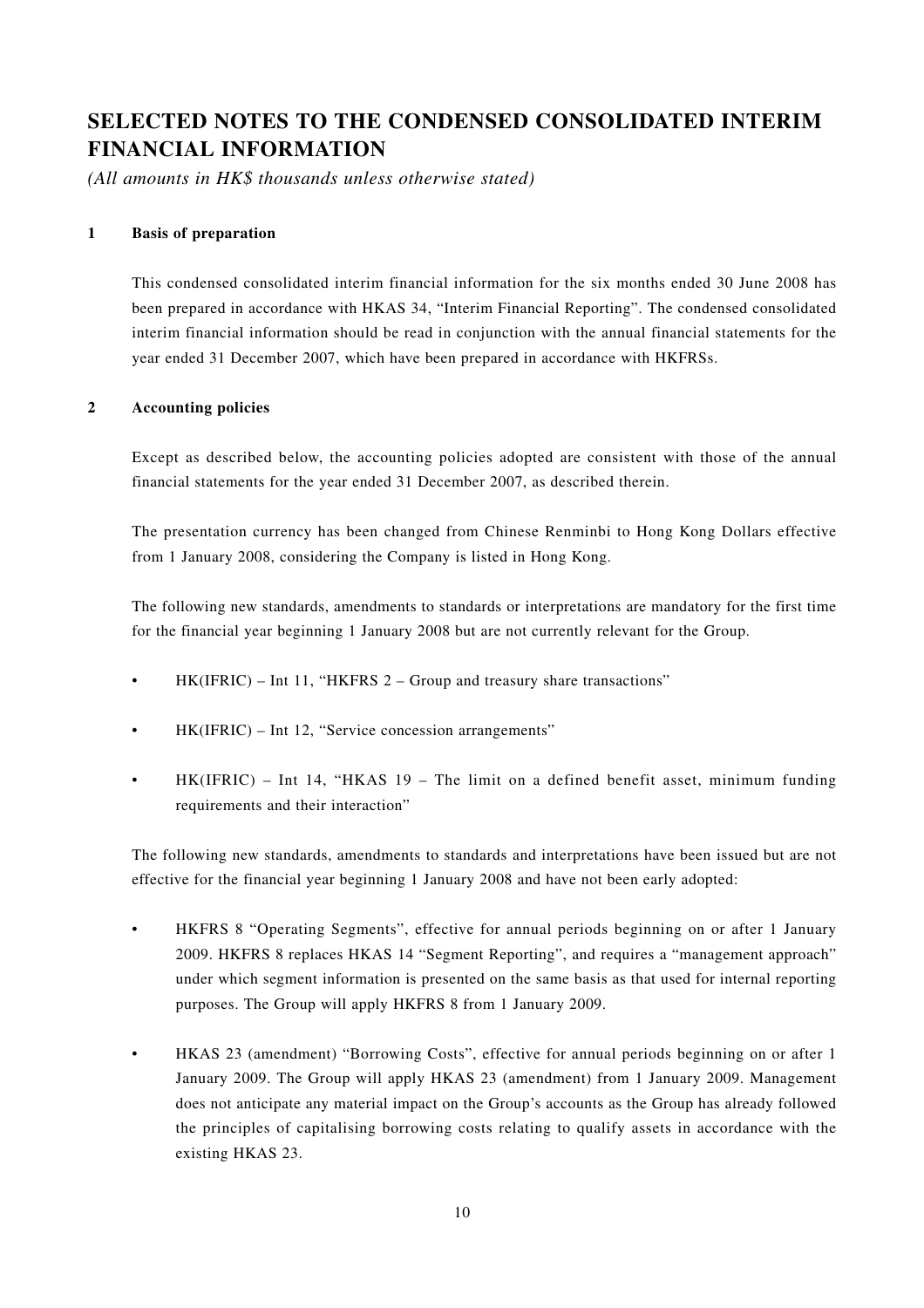# **SELECTED NOTES TO THE CONDENSED CONSOLIDATED INTERIM FINANCIAL INFORMATION**

*(All amounts in HK\$ thousands unless otherwise stated)*

#### **1 Basis of preparation**

This condensed consolidated interim financial information for the six months ended 30 June 2008 has been prepared in accordance with HKAS 34, "Interim Financial Reporting". The condensed consolidated interim financial information should be read in conjunction with the annual financial statements for the year ended 31 December 2007, which have been prepared in accordance with HKFRSs.

#### **2 Accounting policies**

Except as described below, the accounting policies adopted are consistent with those of the annual financial statements for the year ended 31 December 2007, as described therein.

The presentation currency has been changed from Chinese Renminbi to Hong Kong Dollars effective from 1 January 2008, considering the Company is listed in Hong Kong.

The following new standards, amendments to standards or interpretations are mandatory for the first time for the financial year beginning 1 January 2008 but are not currently relevant for the Group.

- HK(IFRIC) Int 11, "HKFRS 2 Group and treasury share transactions"
- HK(IFRIC) Int 12, "Service concession arrangements"
- HK(IFRIC) Int 14, "HKAS 19 The limit on a defined benefit asset, minimum funding requirements and their interaction"

The following new standards, amendments to standards and interpretations have been issued but are not effective for the financial year beginning 1 January 2008 and have not been early adopted:

- HKFRS 8 "Operating Segments", effective for annual periods beginning on or after 1 January 2009. HKFRS 8 replaces HKAS 14 "Segment Reporting", and requires a "management approach" under which segment information is presented on the same basis as that used for internal reporting purposes. The Group will apply HKFRS 8 from 1 January 2009.
- HKAS 23 (amendment) "Borrowing Costs", effective for annual periods beginning on or after 1 January 2009. The Group will apply HKAS 23 (amendment) from 1 January 2009. Management does not anticipate any material impact on the Group's accounts as the Group has already followed the principles of capitalising borrowing costs relating to qualify assets in accordance with the existing HKAS 23.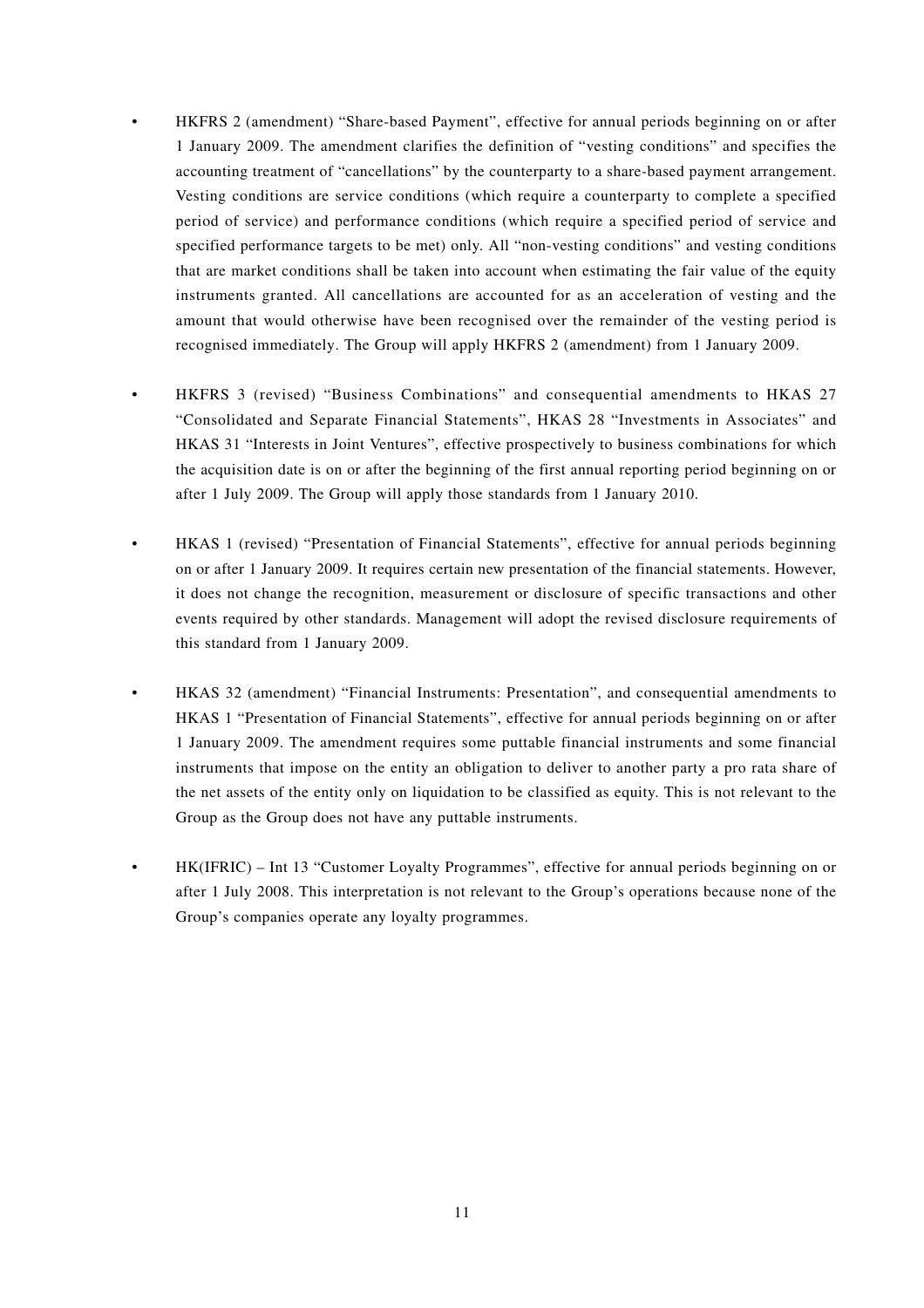- HKFRS 2 (amendment) "Share-based Payment", effective for annual periods beginning on or after 1 January 2009. The amendment clarifies the definition of "vesting conditions" and specifies the accounting treatment of "cancellations" by the counterparty to a share-based payment arrangement. Vesting conditions are service conditions (which require a counterparty to complete a specified period of service) and performance conditions (which require a specified period of service and specified performance targets to be met) only. All "non-vesting conditions" and vesting conditions that are market conditions shall be taken into account when estimating the fair value of the equity instruments granted. All cancellations are accounted for as an acceleration of vesting and the amount that would otherwise have been recognised over the remainder of the vesting period is recognised immediately. The Group will apply HKFRS 2 (amendment) from 1 January 2009.
- HKFRS 3 (revised) "Business Combinations" and consequential amendments to HKAS 27 "Consolidated and Separate Financial Statements", HKAS 28 "Investments in Associates" and HKAS 31 "Interests in Joint Ventures", effective prospectively to business combinations for which the acquisition date is on or after the beginning of the first annual reporting period beginning on or after 1 July 2009. The Group will apply those standards from 1 January 2010.
- HKAS 1 (revised) "Presentation of Financial Statements", effective for annual periods beginning on or after 1 January 2009. It requires certain new presentation of the financial statements. However, it does not change the recognition, measurement or disclosure of specific transactions and other events required by other standards. Management will adopt the revised disclosure requirements of this standard from 1 January 2009.
	- HKAS 32 (amendment) "Financial Instruments: Presentation", and consequential amendments to HKAS 1 "Presentation of Financial Statements", effective for annual periods beginning on or after 1 January 2009. The amendment requires some puttable financial instruments and some financial instruments that impose on the entity an obligation to deliver to another party a pro rata share of the net assets of the entity only on liquidation to be classified as equity. This is not relevant to the Group as the Group does not have any puttable instruments.
- HK(IFRIC) Int 13 "Customer Loyalty Programmes", effective for annual periods beginning on or after 1 July 2008. This interpretation is not relevant to the Group's operations because none of the Group's companies operate any loyalty programmes.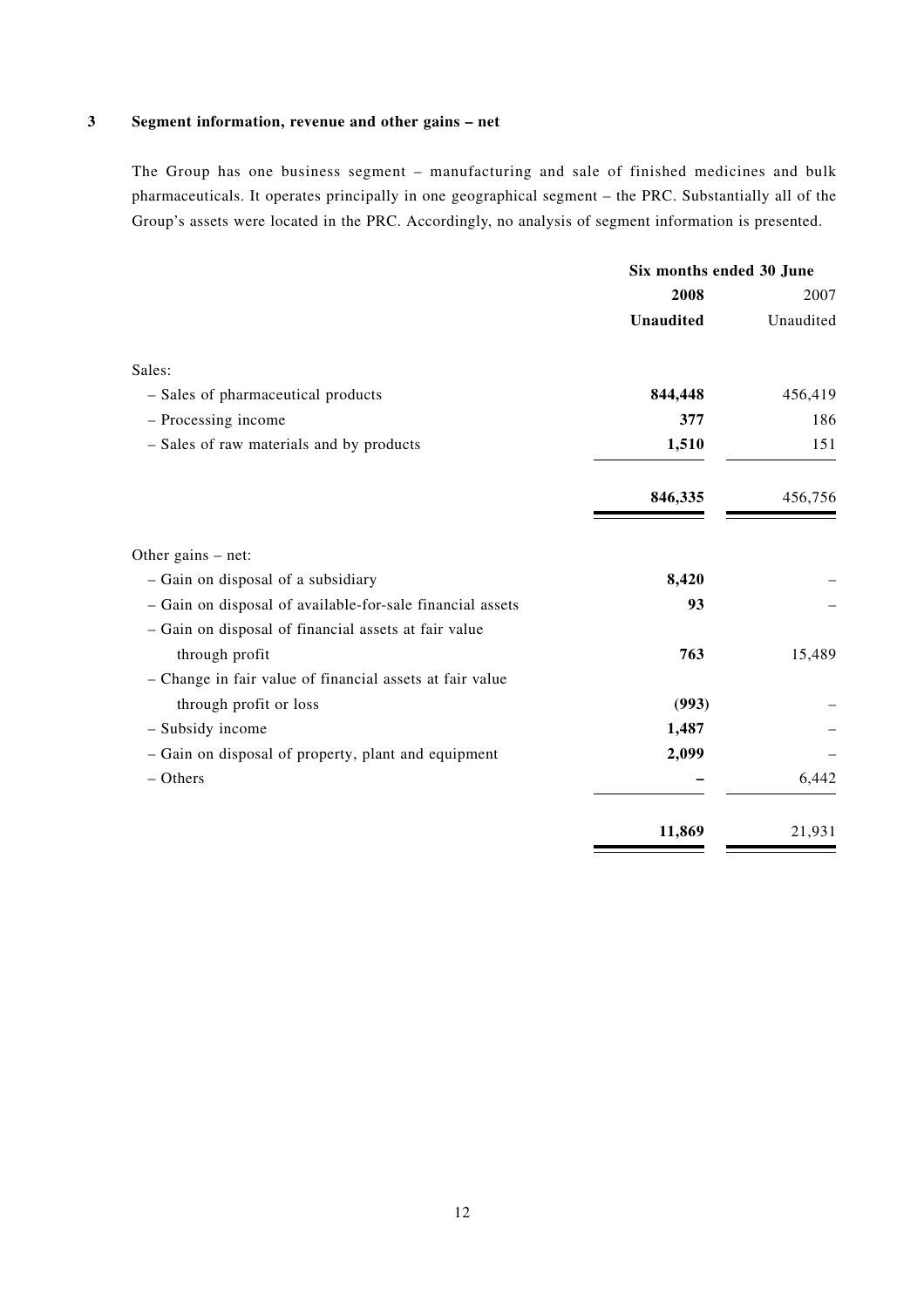### **3 Segment information, revenue and other gains – net**

The Group has one business segment – manufacturing and sale of finished medicines and bulk pharmaceuticals. It operates principally in one geographical segment – the PRC. Substantially all of the Group's assets were located in the PRC. Accordingly, no analysis of segment information is presented.

|                                                           | Six months ended 30 June |           |
|-----------------------------------------------------------|--------------------------|-----------|
|                                                           | 2008                     | 2007      |
|                                                           | <b>Unaudited</b>         | Unaudited |
| Sales:                                                    |                          |           |
| - Sales of pharmaceutical products                        | 844,448                  | 456,419   |
| - Processing income                                       | 377                      | 186       |
| - Sales of raw materials and by products                  | 1,510                    | 151       |
|                                                           | 846,335                  | 456,756   |
| Other gains $-$ net:                                      |                          |           |
| - Gain on disposal of a subsidiary                        | 8,420                    |           |
| - Gain on disposal of available-for-sale financial assets | 93                       |           |
| - Gain on disposal of financial assets at fair value      |                          |           |
| through profit                                            | 763                      | 15,489    |
| - Change in fair value of financial assets at fair value  |                          |           |
| through profit or loss                                    | (993)                    |           |
| - Subsidy income                                          | 1,487                    |           |
| - Gain on disposal of property, plant and equipment       | 2,099                    |           |
| $-$ Others                                                |                          | 6,442     |
|                                                           | 11,869                   | 21,931    |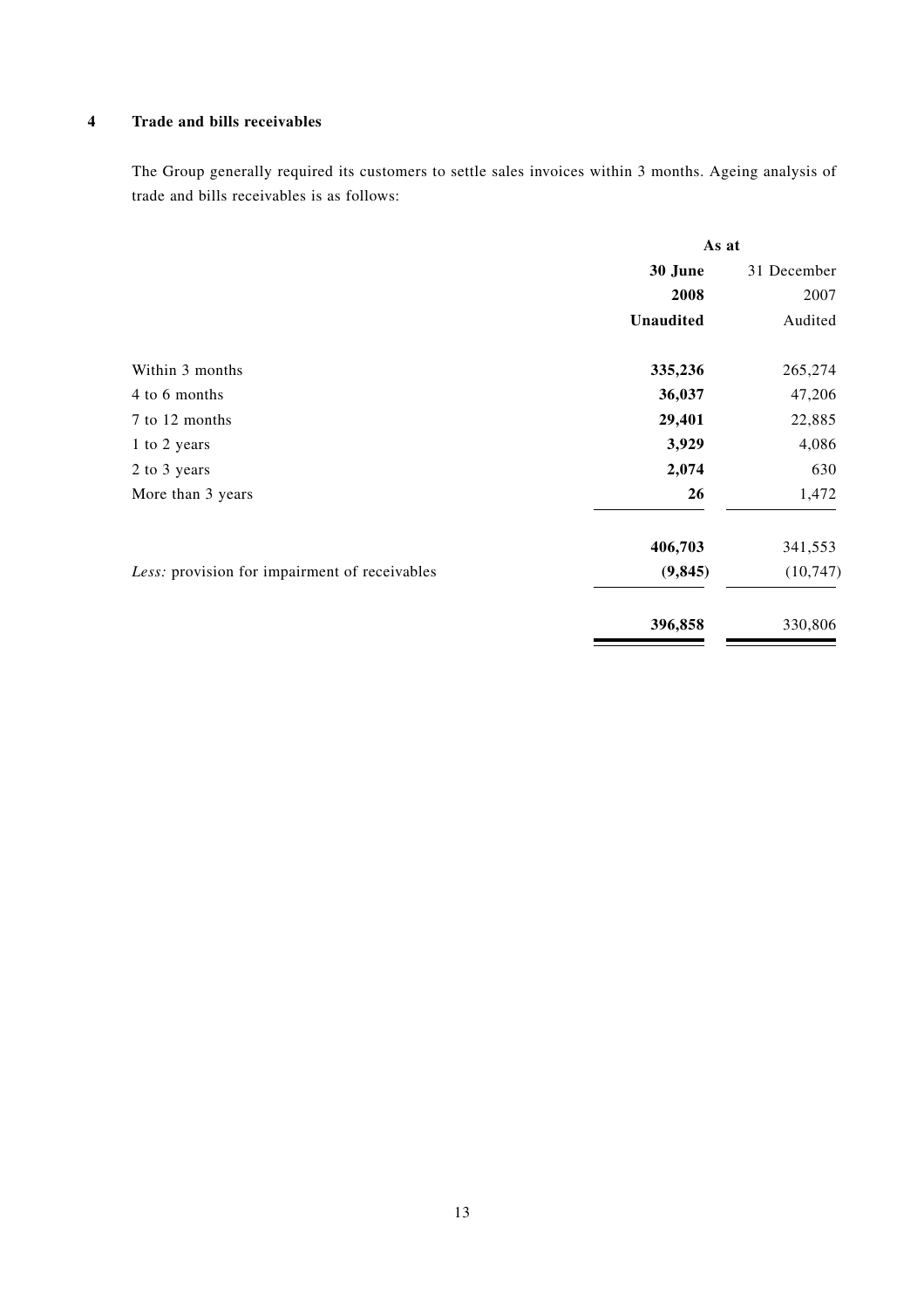#### **4 Trade and bills receivables**

The Group generally required its customers to settle sales invoices within 3 months. Ageing analysis of trade and bills receivables is as follows:

|                                               | As at     |             |  |
|-----------------------------------------------|-----------|-------------|--|
|                                               | 30 June   | 31 December |  |
|                                               | 2008      | 2007        |  |
|                                               | Unaudited | Audited     |  |
| Within 3 months                               | 335,236   | 265,274     |  |
| 4 to 6 months                                 | 36,037    | 47,206      |  |
| 7 to 12 months                                | 29,401    | 22,885      |  |
| 1 to 2 years                                  | 3,929     | 4,086       |  |
| 2 to 3 years                                  | 2,074     | 630         |  |
| More than 3 years                             | 26        | 1,472       |  |
|                                               | 406,703   | 341,553     |  |
| Less: provision for impairment of receivables | (9, 845)  | (10, 747)   |  |
|                                               | 396,858   | 330,806     |  |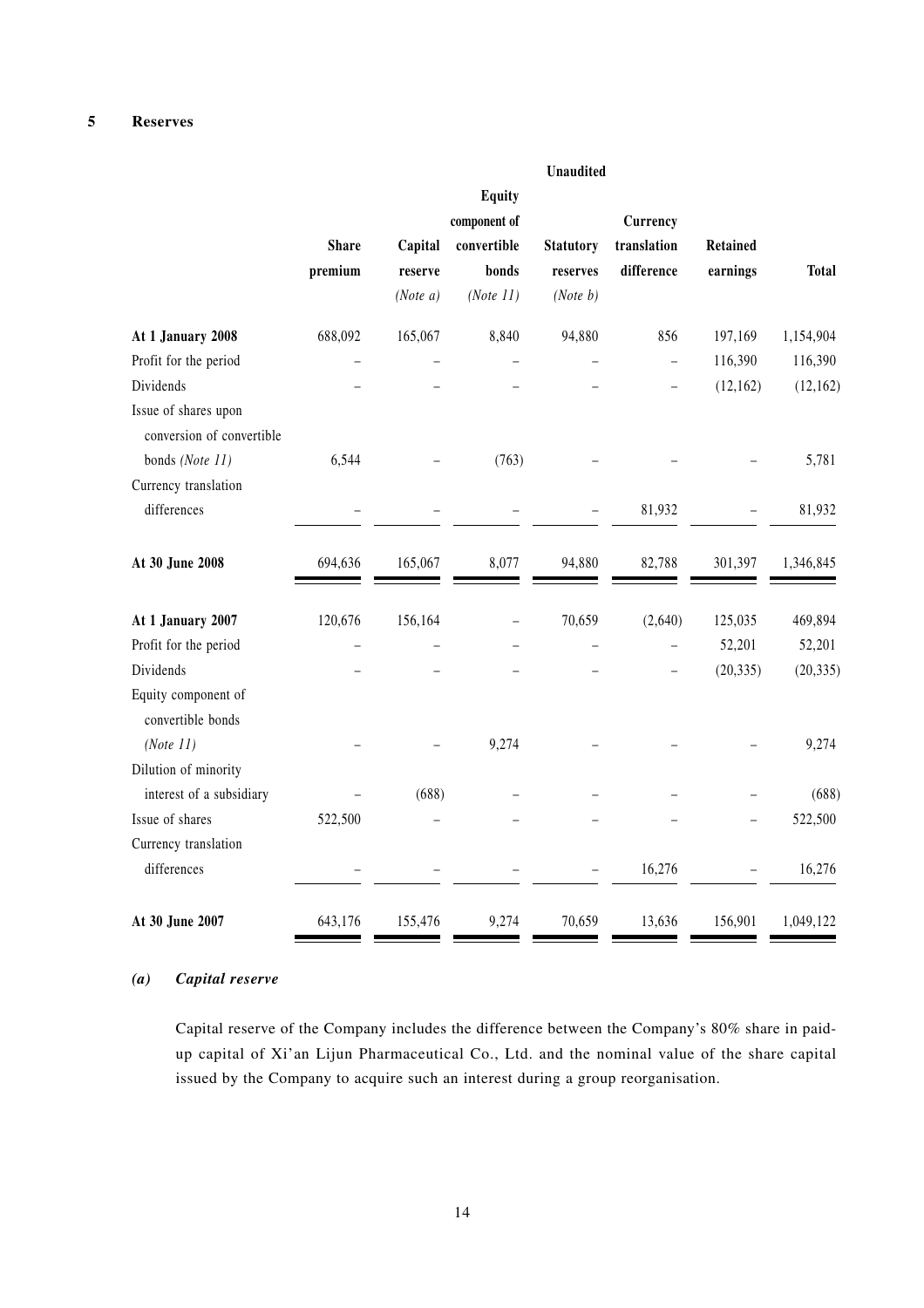|                                                   |              |                     |                          | Unaudited            |                          |                 |              |
|---------------------------------------------------|--------------|---------------------|--------------------------|----------------------|--------------------------|-----------------|--------------|
|                                                   |              |                     | <b>Equity</b>            |                      |                          |                 |              |
|                                                   |              |                     | component of             |                      | Currency                 |                 |              |
|                                                   | <b>Share</b> | Capital             | convertible              | <b>Statutory</b>     | translation              | <b>Retained</b> |              |
|                                                   | premium      | reserve<br>(Note a) | bonds<br>(Note 11)       | reserves<br>(Note b) | difference               | earnings        | <b>Total</b> |
| At 1 January 2008                                 | 688,092      | 165,067             | 8,840                    | 94,880               | 856                      | 197,169         | 1,154,904    |
| Profit for the period                             |              |                     |                          |                      | $\overline{a}$           | 116,390         | 116,390      |
| Dividends                                         |              |                     |                          |                      | $\overline{\phantom{0}}$ | (12, 162)       | (12, 162)    |
| Issue of shares upon<br>conversion of convertible |              |                     |                          |                      |                          |                 |              |
| bonds (Note 11)                                   | 6,544        |                     | (763)                    |                      |                          |                 | 5,781        |
| Currency translation                              |              |                     |                          |                      |                          |                 |              |
| differences                                       |              |                     |                          |                      | 81,932                   |                 | 81,932       |
| At 30 June 2008                                   | 694,636      | 165,067             | 8,077                    | 94,880               | 82,788                   | 301,397         | 1,346,845    |
| At 1 January 2007                                 | 120,676      | 156,164             | $\overline{\phantom{0}}$ | 70,659               | (2,640)                  | 125,035         | 469,894      |
| Profit for the period                             |              |                     |                          |                      |                          | 52,201          | 52,201       |
| Dividends                                         |              |                     |                          |                      | $\overline{\phantom{0}}$ | (20, 335)       | (20, 335)    |
| Equity component of<br>convertible bonds          |              |                     |                          |                      |                          |                 |              |
| (Note 11)                                         |              |                     | 9,274                    |                      |                          |                 | 9,274        |
| Dilution of minority                              |              |                     |                          |                      |                          |                 |              |
| interest of a subsidiary                          |              | (688)               |                          |                      |                          |                 | (688)        |
| Issue of shares                                   | 522,500      |                     |                          |                      |                          |                 | 522,500      |
| Currency translation                              |              |                     |                          |                      |                          |                 |              |
| differences                                       |              |                     |                          |                      | 16,276                   |                 | 16,276       |
| At 30 June 2007                                   | 643,176      | 155,476             | 9,274                    | 70,659               | 13,636                   | 156,901         | 1,049,122    |

#### *(a) Capital reserve*

Capital reserve of the Company includes the difference between the Company's 80% share in paidup capital of Xi'an Lijun Pharmaceutical Co., Ltd. and the nominal value of the share capital issued by the Company to acquire such an interest during a group reorganisation.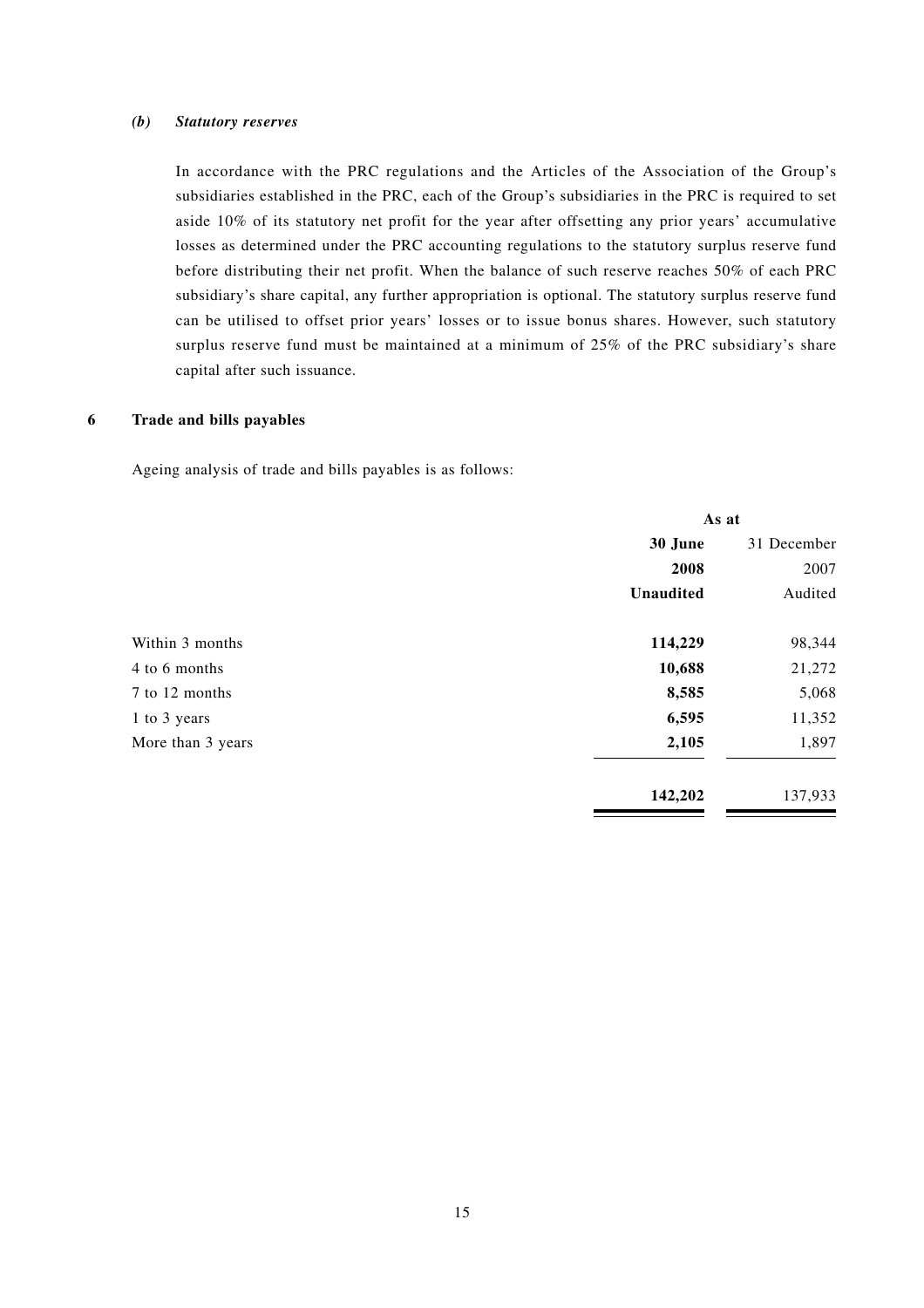#### *(b) Statutory reserves*

In accordance with the PRC regulations and the Articles of the Association of the Group's subsidiaries established in the PRC, each of the Group's subsidiaries in the PRC is required to set aside 10% of its statutory net profit for the year after offsetting any prior years' accumulative losses as determined under the PRC accounting regulations to the statutory surplus reserve fund before distributing their net profit. When the balance of such reserve reaches 50% of each PRC subsidiary's share capital, any further appropriation is optional. The statutory surplus reserve fund can be utilised to offset prior years' losses or to issue bonus shares. However, such statutory surplus reserve fund must be maintained at a minimum of 25% of the PRC subsidiary's share capital after such issuance.

#### **6 Trade and bills payables**

Ageing analysis of trade and bills payables is as follows:

|                   | As at            |             |
|-------------------|------------------|-------------|
|                   | 30 June          | 31 December |
|                   | 2008             | 2007        |
|                   | <b>Unaudited</b> | Audited     |
| Within 3 months   | 114,229          | 98,344      |
| 4 to 6 months     | 10,688           | 21,272      |
| 7 to 12 months    | 8,585            | 5,068       |
| 1 to 3 years      | 6,595            | 11,352      |
| More than 3 years | 2,105            | 1,897       |
|                   | 142,202          | 137,933     |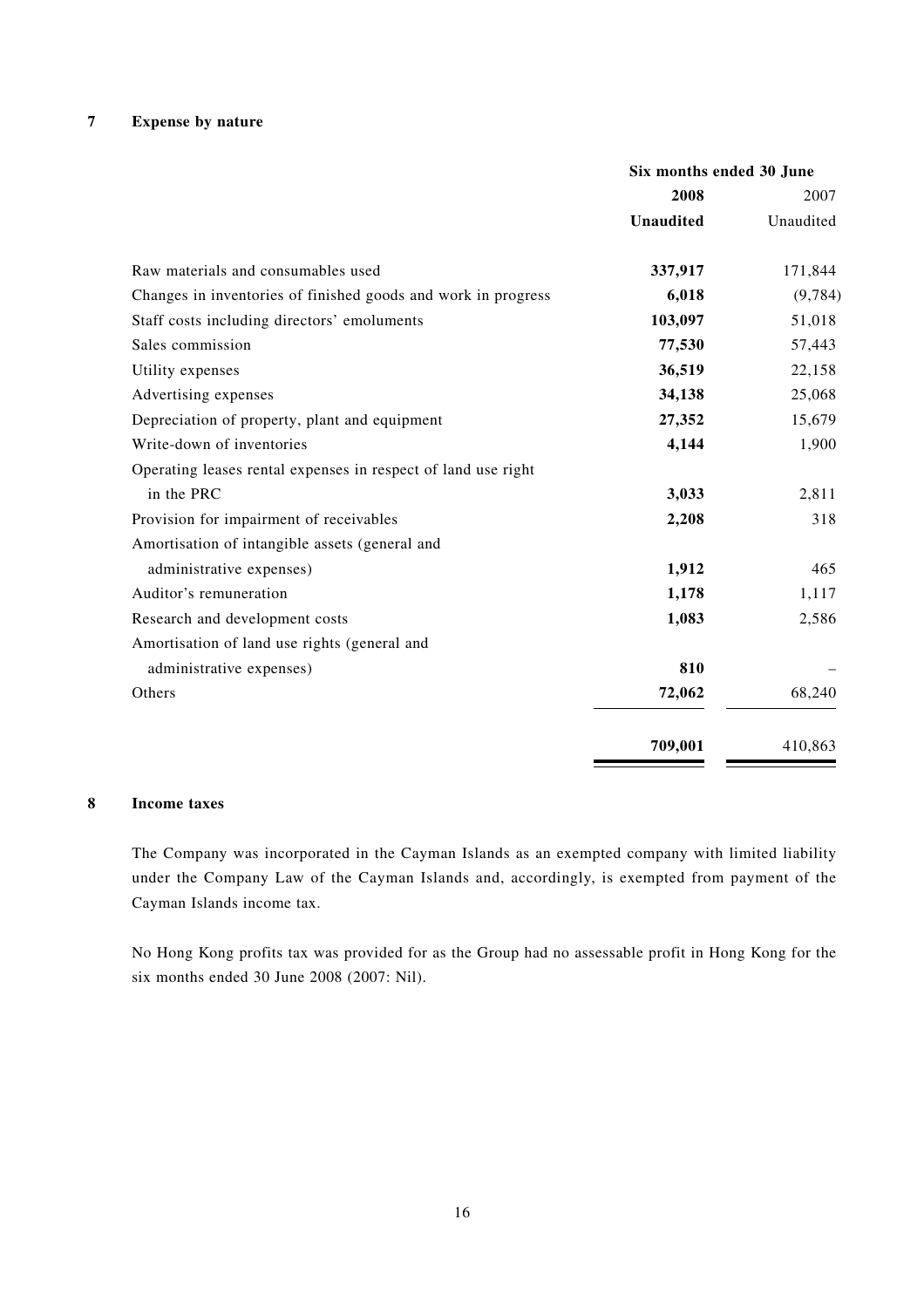### **7 Expense by nature**

|                                                               | Six months ended 30 June |           |
|---------------------------------------------------------------|--------------------------|-----------|
|                                                               | 2008                     | 2007      |
|                                                               | <b>Unaudited</b>         | Unaudited |
| Raw materials and consumables used                            | 337,917                  | 171,844   |
| Changes in inventories of finished goods and work in progress | 6,018                    | (9, 784)  |
| Staff costs including directors' emoluments                   | 103,097                  | 51,018    |
| Sales commission                                              | 77,530                   | 57,443    |
| Utility expenses                                              | 36,519                   | 22,158    |
| Advertising expenses                                          | 34,138                   | 25,068    |
| Depreciation of property, plant and equipment                 | 27,352                   | 15,679    |
| Write-down of inventories                                     | 4,144                    | 1,900     |
| Operating leases rental expenses in respect of land use right |                          |           |
| in the PRC                                                    | 3,033                    | 2,811     |
| Provision for impairment of receivables                       | 2,208                    | 318       |
| Amortisation of intangible assets (general and                |                          |           |
| administrative expenses)                                      | 1,912                    | 465       |
| Auditor's remuneration                                        | 1,178                    | 1,117     |
| Research and development costs                                | 1,083                    | 2,586     |
| Amortisation of land use rights (general and                  |                          |           |
| administrative expenses)                                      | 810                      |           |
| Others                                                        | 72,062                   | 68,240    |
|                                                               | 709,001                  | 410,863   |

#### **8 Income taxes**

The Company was incorporated in the Cayman Islands as an exempted company with limited liability under the Company Law of the Cayman Islands and, accordingly, is exempted from payment of the Cayman Islands income tax.

No Hong Kong profits tax was provided for as the Group had no assessable profit in Hong Kong for the six months ended 30 June 2008 (2007: Nil).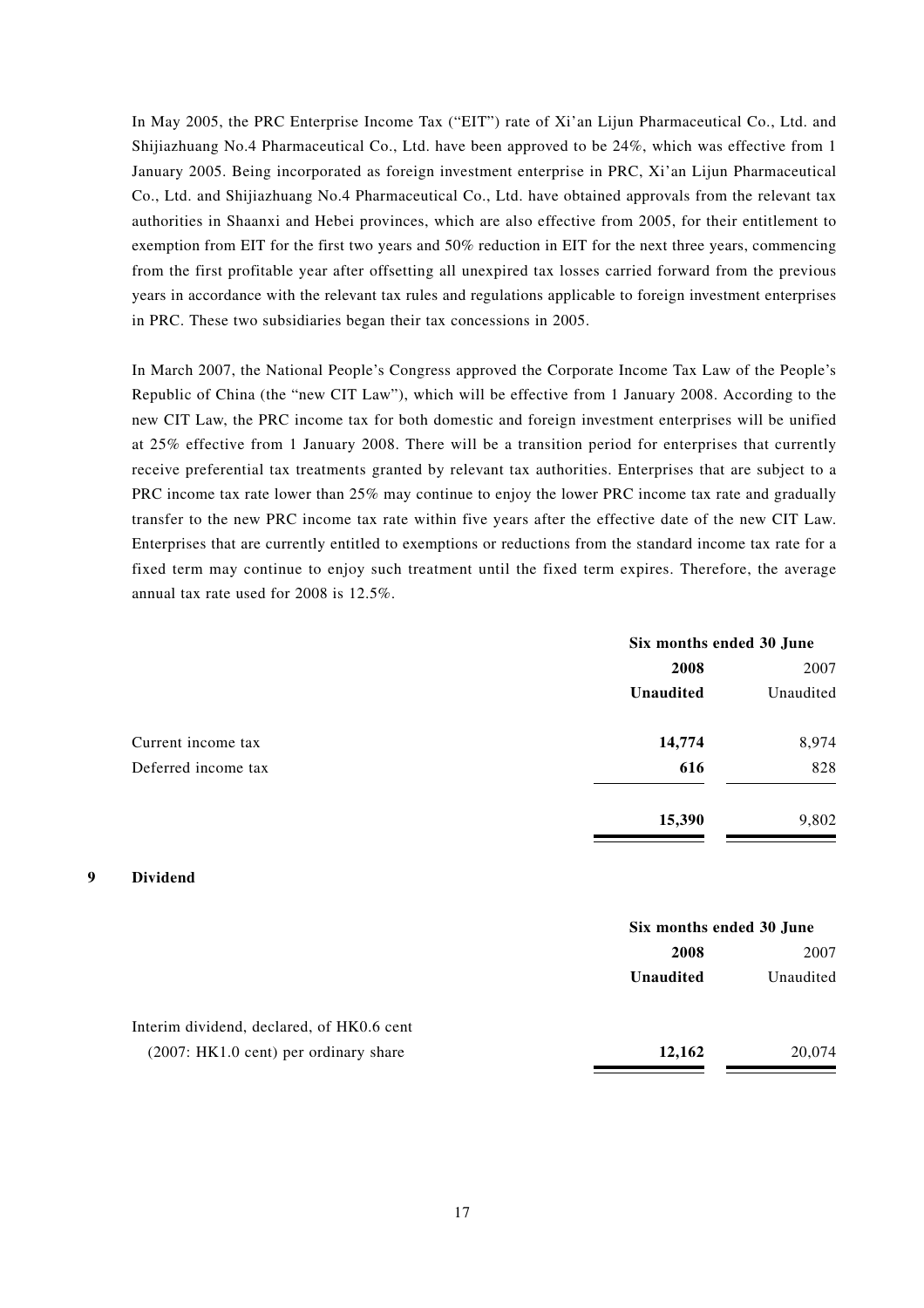In May 2005, the PRC Enterprise Income Tax ("EIT") rate of Xi'an Lijun Pharmaceutical Co., Ltd. and Shijiazhuang No.4 Pharmaceutical Co., Ltd. have been approved to be 24%, which was effective from 1 January 2005. Being incorporated as foreign investment enterprise in PRC, Xi'an Lijun Pharmaceutical Co., Ltd. and Shijiazhuang No.4 Pharmaceutical Co., Ltd. have obtained approvals from the relevant tax authorities in Shaanxi and Hebei provinces, which are also effective from 2005, for their entitlement to exemption from EIT for the first two years and 50% reduction in EIT for the next three years, commencing from the first profitable year after offsetting all unexpired tax losses carried forward from the previous years in accordance with the relevant tax rules and regulations applicable to foreign investment enterprises in PRC. These two subsidiaries began their tax concessions in 2005.

In March 2007, the National People's Congress approved the Corporate Income Tax Law of the People's Republic of China (the "new CIT Law"), which will be effective from 1 January 2008. According to the new CIT Law, the PRC income tax for both domestic and foreign investment enterprises will be unified at 25% effective from 1 January 2008. There will be a transition period for enterprises that currently receive preferential tax treatments granted by relevant tax authorities. Enterprises that are subject to a PRC income tax rate lower than 25% may continue to enjoy the lower PRC income tax rate and gradually transfer to the new PRC income tax rate within five years after the effective date of the new CIT Law. Enterprises that are currently entitled to exemptions or reductions from the standard income tax rate for a fixed term may continue to enjoy such treatment until the fixed term expires. Therefore, the average annual tax rate used for 2008 is 12.5%.

|                     | Six months ended 30 June |           |
|---------------------|--------------------------|-----------|
|                     | 2008                     | 2007      |
|                     | <b>Unaudited</b>         | Unaudited |
| Current income tax  | 14,774                   | 8,974     |
| Deferred income tax | 616                      | 828       |
|                     | 15,390                   | 9,802     |

#### **9 Dividend**

|                                           | Six months ended 30 June |           |
|-------------------------------------------|--------------------------|-----------|
|                                           | 2008                     | 2007      |
|                                           | Unaudited                | Unaudited |
| Interim dividend, declared, of HK0.6 cent |                          |           |
| $(2007:HK1.0 cent)$ per ordinary share    | 12,162                   | 20,074    |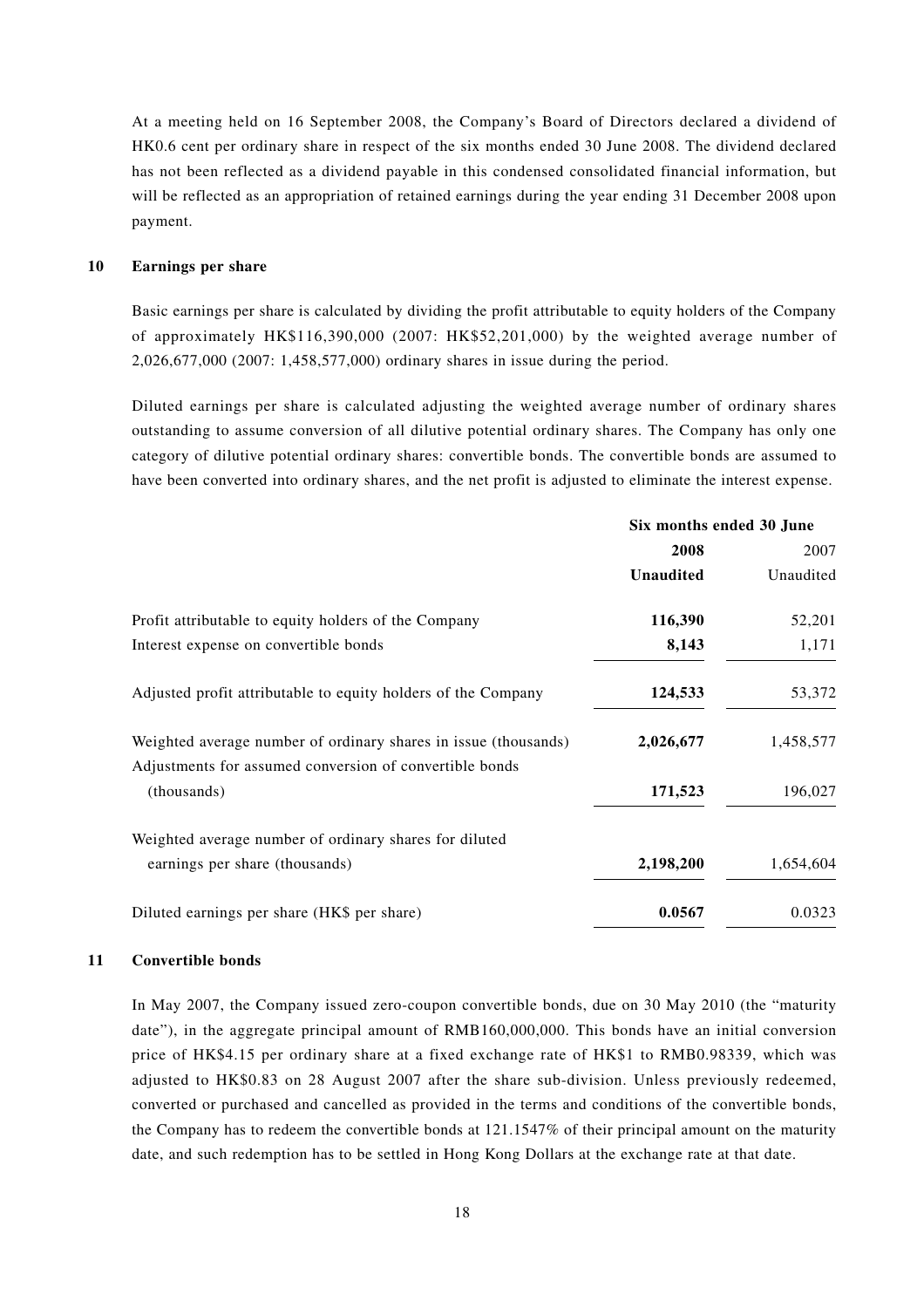At a meeting held on 16 September 2008, the Company's Board of Directors declared a dividend of HK0.6 cent per ordinary share in respect of the six months ended 30 June 2008. The dividend declared has not been reflected as a dividend payable in this condensed consolidated financial information, but will be reflected as an appropriation of retained earnings during the year ending 31 December 2008 upon payment.

#### **10 Earnings per share**

Basic earnings per share is calculated by dividing the profit attributable to equity holders of the Company of approximately HK\$116,390,000 (2007: HK\$52,201,000) by the weighted average number of 2,026,677,000 (2007: 1,458,577,000) ordinary shares in issue during the period.

Diluted earnings per share is calculated adjusting the weighted average number of ordinary shares outstanding to assume conversion of all dilutive potential ordinary shares. The Company has only one category of dilutive potential ordinary shares: convertible bonds. The convertible bonds are assumed to have been converted into ordinary shares, and the net profit is adjusted to eliminate the interest expense.

|                                                                        | Six months ended 30 June |           |
|------------------------------------------------------------------------|--------------------------|-----------|
|                                                                        | 2008                     | 2007      |
|                                                                        | <b>Unaudited</b>         | Unaudited |
| Profit attributable to equity holders of the Company                   | 116,390                  | 52,201    |
| Interest expense on convertible bonds                                  | 8,143                    | 1,171     |
| Adjusted profit attributable to equity holders of the Company          | 124,533                  | 53,372    |
| Weighted average number of ordinary shares in issue (thousands)        | 2,026,677                | 1,458,577 |
| Adjustments for assumed conversion of convertible bonds<br>(thousands) | 171,523                  | 196,027   |
| Weighted average number of ordinary shares for diluted                 |                          |           |
| earnings per share (thousands)                                         | 2,198,200                | 1,654,604 |
| Diluted earnings per share (HK\$ per share)                            | 0.0567                   | 0.0323    |
|                                                                        |                          |           |

#### **11 Convertible bonds**

In May 2007, the Company issued zero-coupon convertible bonds, due on 30 May 2010 (the "maturity date"), in the aggregate principal amount of RMB160,000,000. This bonds have an initial conversion price of HK\$4.15 per ordinary share at a fixed exchange rate of HK\$1 to RMB0.98339, which was adjusted to HK\$0.83 on 28 August 2007 after the share sub-division. Unless previously redeemed, converted or purchased and cancelled as provided in the terms and conditions of the convertible bonds, the Company has to redeem the convertible bonds at 121.1547% of their principal amount on the maturity date, and such redemption has to be settled in Hong Kong Dollars at the exchange rate at that date.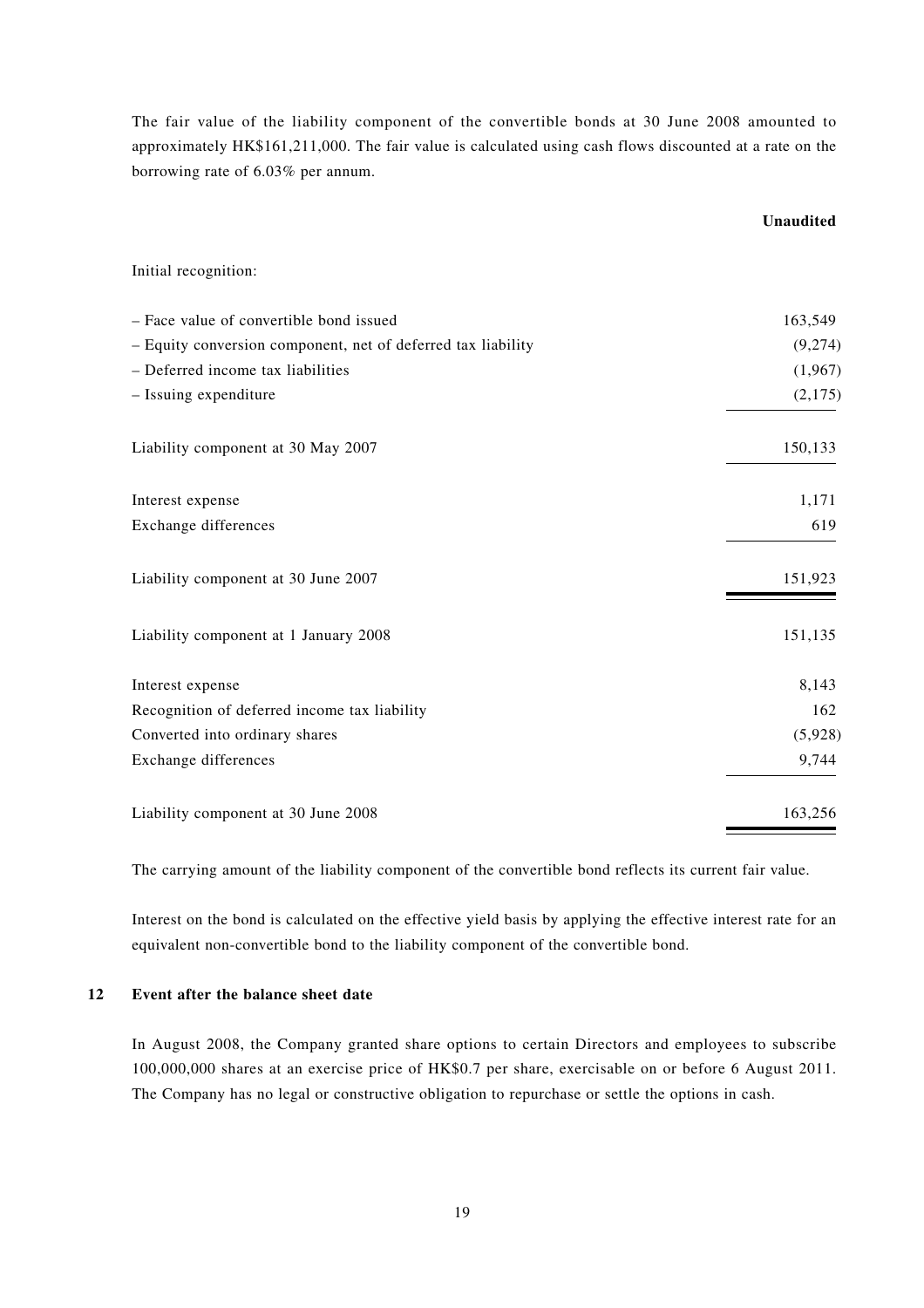The fair value of the liability component of the convertible bonds at 30 June 2008 amounted to approximately HK\$161,211,000. The fair value is calculated using cash flows discounted at a rate on the borrowing rate of 6.03% per annum.

|                                                              | <b>Unaudited</b> |
|--------------------------------------------------------------|------------------|
| Initial recognition:                                         |                  |
| - Face value of convertible bond issued                      | 163,549          |
| - Equity conversion component, net of deferred tax liability | (9,274)          |
| - Deferred income tax liabilities                            | (1,967)          |
| - Issuing expenditure                                        | (2,175)          |
| Liability component at 30 May 2007                           | 150,133          |
| Interest expense                                             | 1,171            |
| Exchange differences                                         | 619              |
| Liability component at 30 June 2007                          | 151,923          |
| Liability component at 1 January 2008                        | 151,135          |
| Interest expense                                             | 8,143            |
| Recognition of deferred income tax liability                 | 162              |
| Converted into ordinary shares                               | (5,928)          |
| Exchange differences                                         | 9,744            |
| Liability component at 30 June 2008                          | 163,256          |

The carrying amount of the liability component of the convertible bond reflects its current fair value.

Interest on the bond is calculated on the effective yield basis by applying the effective interest rate for an equivalent non-convertible bond to the liability component of the convertible bond.

### **12 Event after the balance sheet date**

In August 2008, the Company granted share options to certain Directors and employees to subscribe 100,000,000 shares at an exercise price of HK\$0.7 per share, exercisable on or before 6 August 2011. The Company has no legal or constructive obligation to repurchase or settle the options in cash.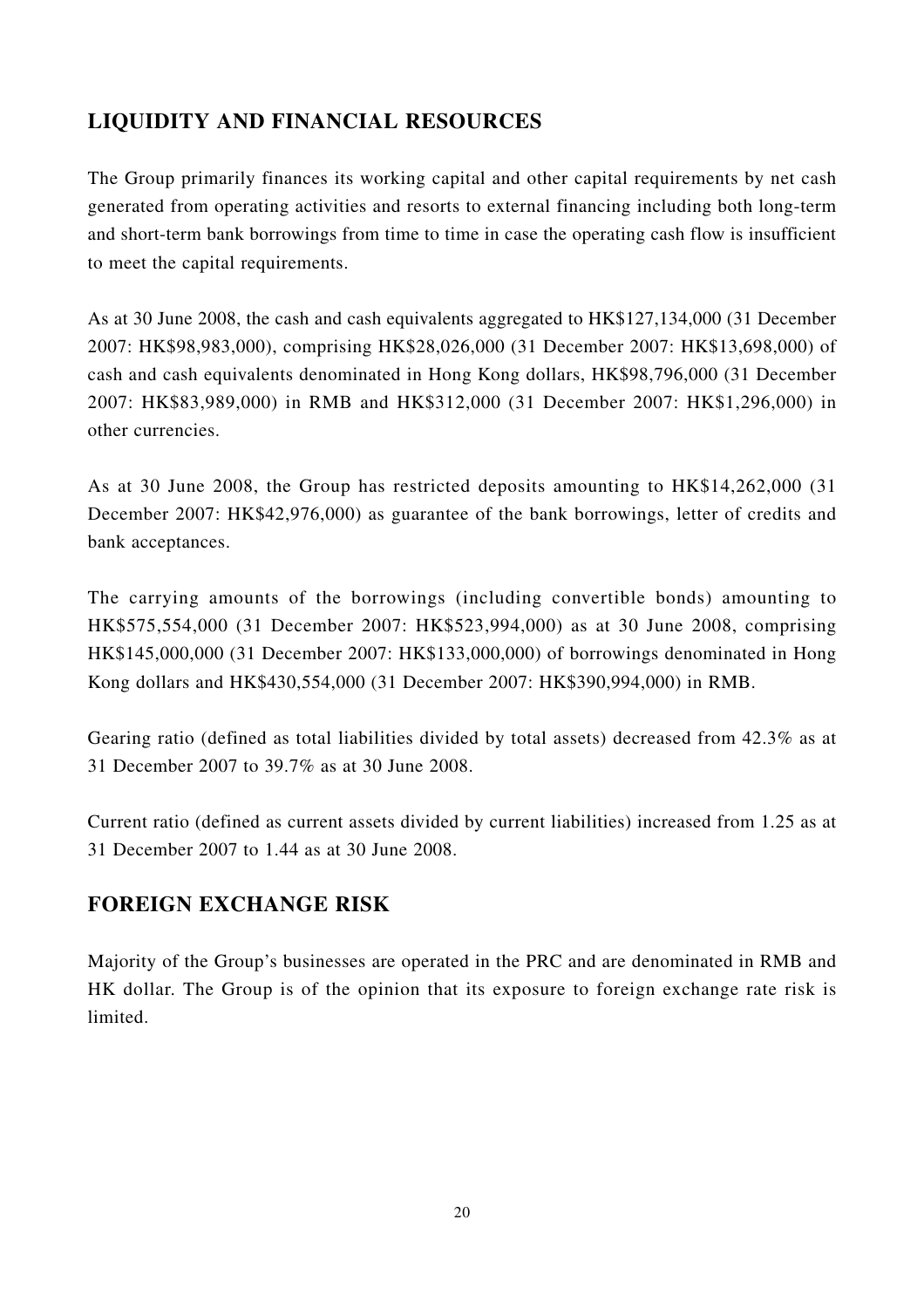# **LIQUIDITY AND FINANCIAL RESOURCES**

The Group primarily finances its working capital and other capital requirements by net cash generated from operating activities and resorts to external financing including both long-term and short-term bank borrowings from time to time in case the operating cash flow is insufficient to meet the capital requirements.

As at 30 June 2008, the cash and cash equivalents aggregated to HK\$127,134,000 (31 December 2007: HK\$98,983,000), comprising HK\$28,026,000 (31 December 2007: HK\$13,698,000) of cash and cash equivalents denominated in Hong Kong dollars, HK\$98,796,000 (31 December 2007: HK\$83,989,000) in RMB and HK\$312,000 (31 December 2007: HK\$1,296,000) in other currencies.

As at 30 June 2008, the Group has restricted deposits amounting to HK\$14,262,000 (31 December 2007: HK\$42,976,000) as guarantee of the bank borrowings, letter of credits and bank acceptances.

The carrying amounts of the borrowings (including convertible bonds) amounting to HK\$575,554,000 (31 December 2007: HK\$523,994,000) as at 30 June 2008, comprising HK\$145,000,000 (31 December 2007: HK\$133,000,000) of borrowings denominated in Hong Kong dollars and HK\$430,554,000 (31 December 2007: HK\$390,994,000) in RMB.

Gearing ratio (defined as total liabilities divided by total assets) decreased from 42.3% as at 31 December 2007 to 39.7% as at 30 June 2008.

Current ratio (defined as current assets divided by current liabilities) increased from 1.25 as at 31 December 2007 to 1.44 as at 30 June 2008.

## **FOREIGN EXCHANGE RISK**

Majority of the Group's businesses are operated in the PRC and are denominated in RMB and HK dollar. The Group is of the opinion that its exposure to foreign exchange rate risk is limited.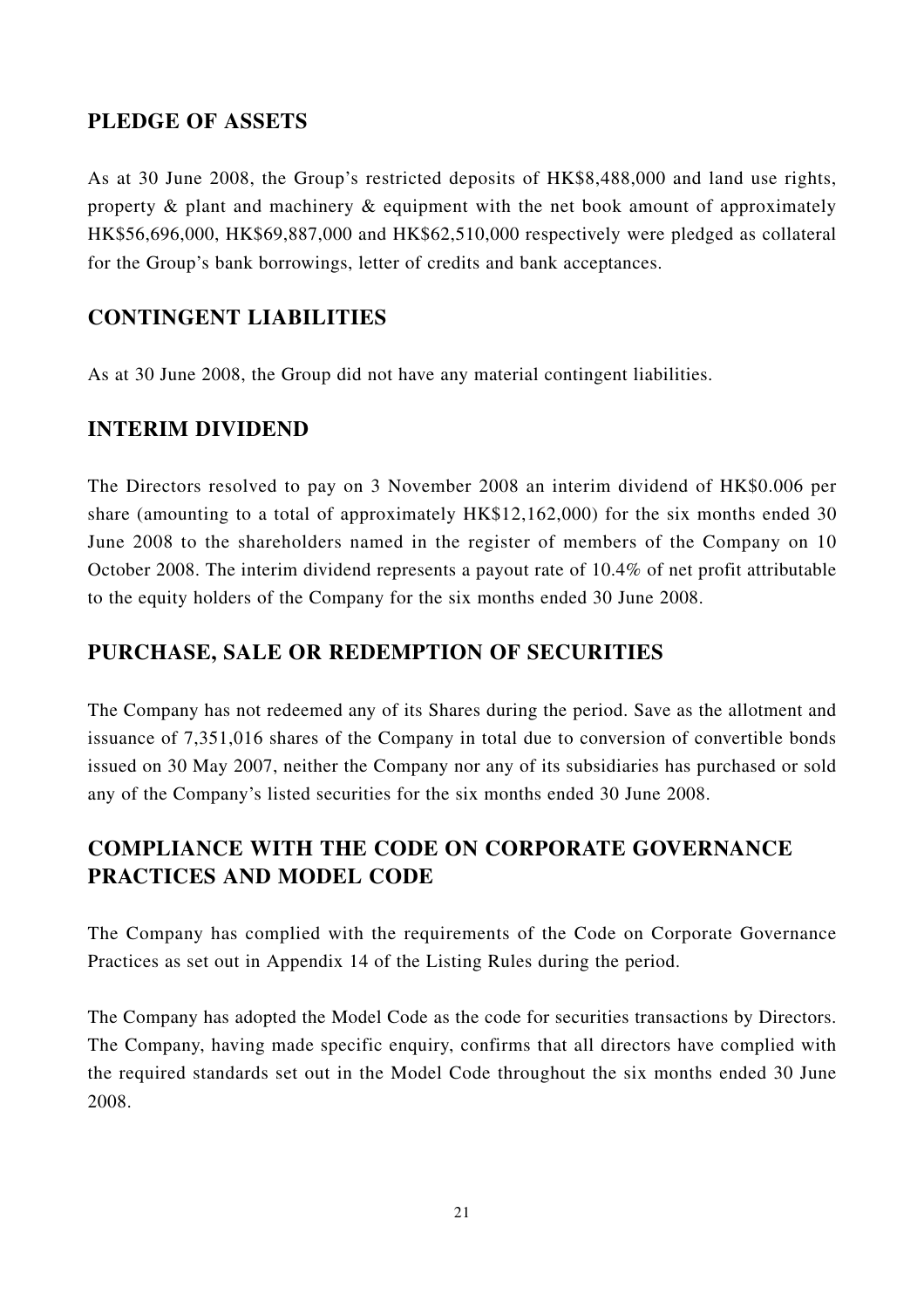## **PLEDGE OF ASSETS**

As at 30 June 2008, the Group's restricted deposits of HK\$8,488,000 and land use rights, property & plant and machinery & equipment with the net book amount of approximately HK\$56,696,000, HK\$69,887,000 and HK\$62,510,000 respectively were pledged as collateral for the Group's bank borrowings, letter of credits and bank acceptances.

## **CONTINGENT LIABILITIES**

As at 30 June 2008, the Group did not have any material contingent liabilities.

# **INTERIM DIVIDEND**

The Directors resolved to pay on 3 November 2008 an interim dividend of HK\$0.006 per share (amounting to a total of approximately HK\$12,162,000) for the six months ended 30 June 2008 to the shareholders named in the register of members of the Company on 10 October 2008. The interim dividend represents a payout rate of 10.4% of net profit attributable to the equity holders of the Company for the six months ended 30 June 2008.

## **PURCHASE, SALE OR REDEMPTION OF SECURITIES**

The Company has not redeemed any of its Shares during the period. Save as the allotment and issuance of 7,351,016 shares of the Company in total due to conversion of convertible bonds issued on 30 May 2007, neither the Company nor any of its subsidiaries has purchased or sold any of the Company's listed securities for the six months ended 30 June 2008.

# **COMPLIANCE WITH THE CODE ON CORPORATE GOVERNANCE PRACTICES AND MODEL CODE**

The Company has complied with the requirements of the Code on Corporate Governance Practices as set out in Appendix 14 of the Listing Rules during the period.

The Company has adopted the Model Code as the code for securities transactions by Directors. The Company, having made specific enquiry, confirms that all directors have complied with the required standards set out in the Model Code throughout the six months ended 30 June 2008.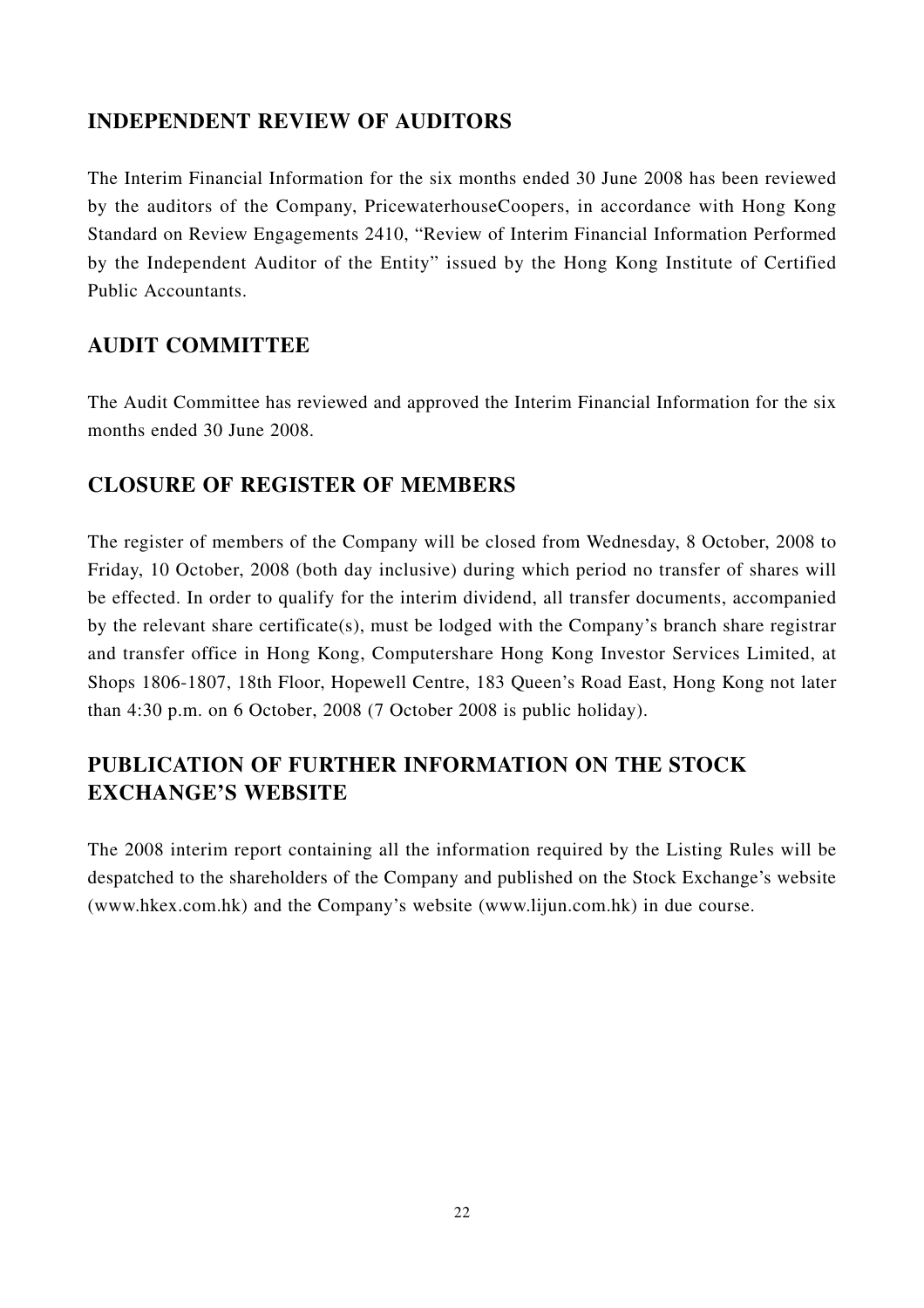## **INDEPENDENT REVIEW OF AUDITORS**

The Interim Financial Information for the six months ended 30 June 2008 has been reviewed by the auditors of the Company, PricewaterhouseCoopers, in accordance with Hong Kong Standard on Review Engagements 2410, "Review of Interim Financial Information Performed by the Independent Auditor of the Entity" issued by the Hong Kong Institute of Certified Public Accountants.

## **AUDIT COMMITTEE**

The Audit Committee has reviewed and approved the Interim Financial Information for the six months ended 30 June 2008.

## **CLOSURE OF REGISTER OF MEMBERS**

The register of members of the Company will be closed from Wednesday, 8 October, 2008 to Friday, 10 October, 2008 (both day inclusive) during which period no transfer of shares will be effected. In order to qualify for the interim dividend, all transfer documents, accompanied by the relevant share certificate(s), must be lodged with the Company's branch share registrar and transfer office in Hong Kong, Computershare Hong Kong Investor Services Limited, at Shops 1806-1807, 18th Floor, Hopewell Centre, 183 Queen's Road East, Hong Kong not later than 4:30 p.m. on 6 October, 2008 (7 October 2008 is public holiday).

# **PUBLICATION OF FURTHER INFORMATION ON THE STOCK EXCHANGE'S WEBSITE**

The 2008 interim report containing all the information required by the Listing Rules will be despatched to the shareholders of the Company and published on the Stock Exchange's website (www.hkex.com.hk) and the Company's website (www.lijun.com.hk) in due course.